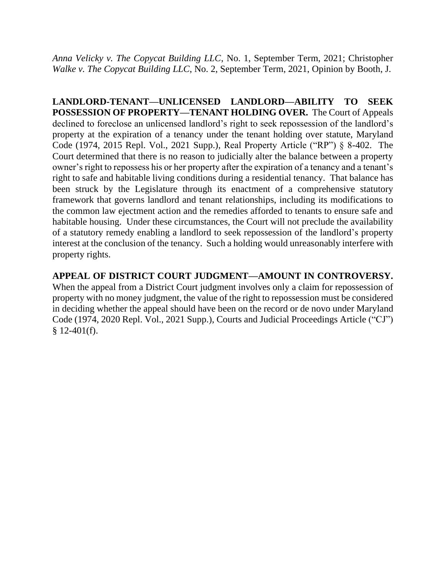*Anna Velicky v. The Copycat Building LLC*, No. 1, September Term, 2021; Christopher *Walke v. The Copycat Building LLC*, No. 2, September Term, 2021, Opinion by Booth, J.

**LANDLORD-TENANT—UNLICENSED LANDLORD—ABILITY TO SEEK POSSESSION OF PROPERTY—TENANT HOLDING OVER.** The Court of Appeals declined to foreclose an unlicensed landlord's right to seek repossession of the landlord's property at the expiration of a tenancy under the tenant holding over statute, Maryland Code (1974, 2015 Repl. Vol., 2021 Supp.), Real Property Article ("RP") § 8-402. The Court determined that there is no reason to judicially alter the balance between a property owner's right to repossess his or her property after the expiration of a tenancy and a tenant's right to safe and habitable living conditions during a residential tenancy. That balance has been struck by the Legislature through its enactment of a comprehensive statutory framework that governs landlord and tenant relationships, including its modifications to the common law ejectment action and the remedies afforded to tenants to ensure safe and habitable housing. Under these circumstances, the Court will not preclude the availability of a statutory remedy enabling a landlord to seek repossession of the landlord's property interest at the conclusion of the tenancy. Such a holding would unreasonably interfere with property rights.

# **APPEAL OF DISTRICT COURT JUDGMENT—AMOUNT IN CONTROVERSY.**

When the appeal from a District Court judgment involves only a claim for repossession of property with no money judgment, the value of the right to repossession must be considered in deciding whether the appeal should have been on the record or de novo under Maryland Code (1974, 2020 Repl. Vol., 2021 Supp.), Courts and Judicial Proceedings Article ("CJ")  $$12-401(f).$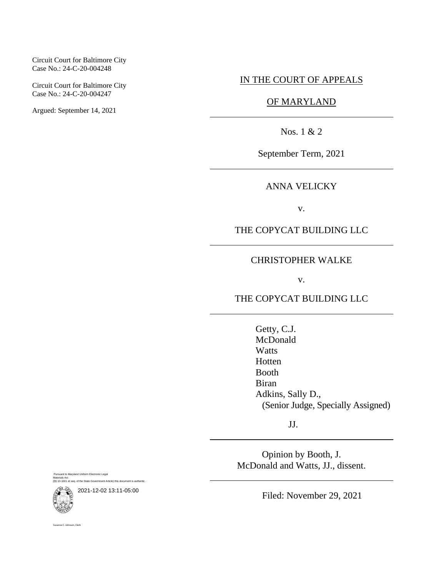#### Circuit Court for Baltimore City Case No.: 24-C-20-004248

Circuit Court for Baltimore City Case No.: 24-C-20-004247

Argued: September 14, 2021

# IN THE COURT OF APPEALS

# OF MARYLAND

Nos. 1 & 2

September Term, 2021

ANNA VELICKY

v.

THE COPYCAT BUILDING LLC

# CHRISTOPHER WALKE

v.

THE COPYCAT BUILDING LLC

Getty, C.J. McDonald **Watts** Hotten Booth Biran Adkins, Sally D., (Senior Judge, Specially Assigned)

JJ.

Opinion by Booth, J. McDonald and Watts, JJ., dissent.

Pursuant to Maryland Uniform Electronic Legal Materials Act (§§ 10-1601 et seq. of the State Government Article) this document is authentic.

2021-12-02 13:11-05:00

Filed: November 29, 2021



ne C. Johnson, Clerk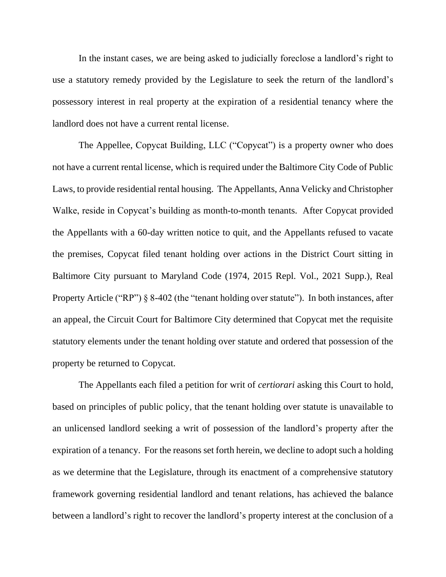In the instant cases, we are being asked to judicially foreclose a landlord's right to use a statutory remedy provided by the Legislature to seek the return of the landlord's possessory interest in real property at the expiration of a residential tenancy where the landlord does not have a current rental license.

The Appellee, Copycat Building, LLC ("Copycat") is a property owner who does not have a current rental license, which is required under the Baltimore City Code of Public Laws, to provide residential rental housing. The Appellants, Anna Velicky and Christopher Walke, reside in Copycat's building as month-to-month tenants. After Copycat provided the Appellants with a 60-day written notice to quit, and the Appellants refused to vacate the premises, Copycat filed tenant holding over actions in the District Court sitting in Baltimore City pursuant to Maryland Code (1974, 2015 Repl. Vol., 2021 Supp.), Real Property Article ("RP")  $\S$  8-402 (the "tenant holding over statute"). In both instances, after an appeal, the Circuit Court for Baltimore City determined that Copycat met the requisite statutory elements under the tenant holding over statute and ordered that possession of the property be returned to Copycat.

The Appellants each filed a petition for writ of *certiorari* asking this Court to hold, based on principles of public policy, that the tenant holding over statute is unavailable to an unlicensed landlord seeking a writ of possession of the landlord's property after the expiration of a tenancy. For the reasons set forth herein, we decline to adopt such a holding as we determine that the Legislature, through its enactment of a comprehensive statutory framework governing residential landlord and tenant relations, has achieved the balance between a landlord's right to recover the landlord's property interest at the conclusion of a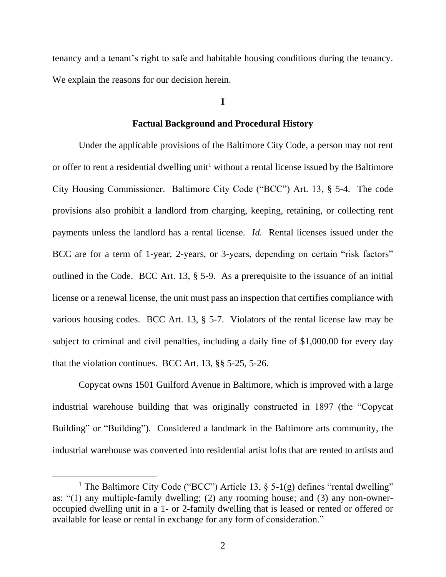tenancy and a tenant's right to safe and habitable housing conditions during the tenancy. We explain the reasons for our decision herein.

## **I**

## **Factual Background and Procedural History**

Under the applicable provisions of the Baltimore City Code, a person may not rent or offer to rent a residential dwelling unit<sup>1</sup> without a rental license issued by the Baltimore City Housing Commissioner. Baltimore City Code ("BCC") Art. 13, § 5-4. The code provisions also prohibit a landlord from charging, keeping, retaining, or collecting rent payments unless the landlord has a rental license. *Id.* Rental licenses issued under the BCC are for a term of 1-year, 2-years, or 3-years, depending on certain "risk factors" outlined in the Code. BCC Art. 13, § 5-9. As a prerequisite to the issuance of an initial license or a renewal license, the unit must pass an inspection that certifies compliance with various housing codes. BCC Art. 13, § 5-7. Violators of the rental license law may be subject to criminal and civil penalties, including a daily fine of \$1,000.00 for every day that the violation continues. BCC Art. 13, §§ 5-25, 5-26.

Copycat owns 1501 Guilford Avenue in Baltimore, which is improved with a large industrial warehouse building that was originally constructed in 1897 (the "Copycat Building" or "Building"). Considered a landmark in the Baltimore arts community, the industrial warehouse was converted into residential artist lofts that are rented to artists and

<sup>&</sup>lt;sup>1</sup> The Baltimore City Code ("BCC") Article 13,  $\S$  5-1(g) defines "rental dwelling" as: "(1) any multiple-family dwelling; (2) any rooming house; and (3) any non-owneroccupied dwelling unit in a 1- or 2-family dwelling that is leased or rented or offered or available for lease or rental in exchange for any form of consideration."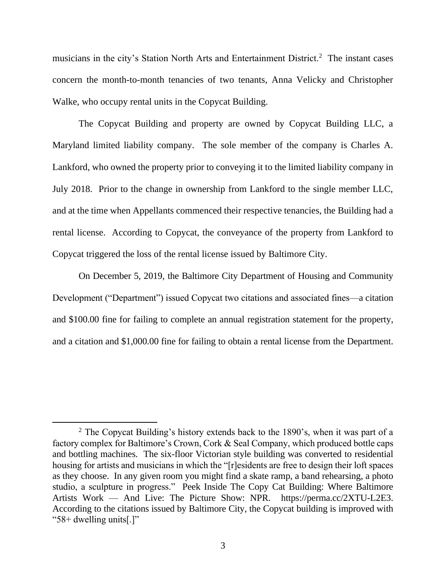musicians in the city's Station North Arts and Entertainment District.<sup>2</sup> The instant cases concern the month-to-month tenancies of two tenants, Anna Velicky and Christopher Walke, who occupy rental units in the Copycat Building.

The Copycat Building and property are owned by Copycat Building LLC, a Maryland limited liability company. The sole member of the company is Charles A. Lankford, who owned the property prior to conveying it to the limited liability company in July 2018. Prior to the change in ownership from Lankford to the single member LLC, and at the time when Appellants commenced their respective tenancies, the Building had a rental license. According to Copycat, the conveyance of the property from Lankford to Copycat triggered the loss of the rental license issued by Baltimore City.

On December 5, 2019, the Baltimore City Department of Housing and Community Development ("Department") issued Copycat two citations and associated fines—a citation and \$100.00 fine for failing to complete an annual registration statement for the property, and a citation and \$1,000.00 fine for failing to obtain a rental license from the Department.

<sup>&</sup>lt;sup>2</sup> The Copycat Building's history extends back to the  $1890$ 's, when it was part of a factory complex for Baltimore's Crown, Cork & Seal Company, which produced bottle caps and bottling machines. The six-floor Victorian style building was converted to residential housing for artists and musicians in which the "[r]esidents are free to design their loft spaces as they choose. In any given room you might find a skate ramp, a band rehearsing, a photo studio, a sculpture in progress." [Peek Inside The Copy Cat Building: Where Baltimore](file:///C:/Users/Kristin.Seal/AppData/Local/Microsoft/Windows/INetCache/Content.Outlook/87SEUNSE/Peek%20Inside%20The%20Copy%20Cat%20Building:%20Where%20Baltimore%20Artists%20Work%20—%20And%20Live:%20The%20Picture%20Show:%20NPR)  Artists Work — [And Live: The Picture Show: NPR.](file:///C:/Users/Kristin.Seal/AppData/Local/Microsoft/Windows/INetCache/Content.Outlook/87SEUNSE/Peek%20Inside%20The%20Copy%20Cat%20Building:%20Where%20Baltimore%20Artists%20Work%20—%20And%20Live:%20The%20Picture%20Show:%20NPR) [https://perma.cc/2XTU-L2E3.](https://perma.cc/2XTU-L2E3) According to the citations issued by Baltimore City, the Copycat building is improved with "58+ dwelling units[.]"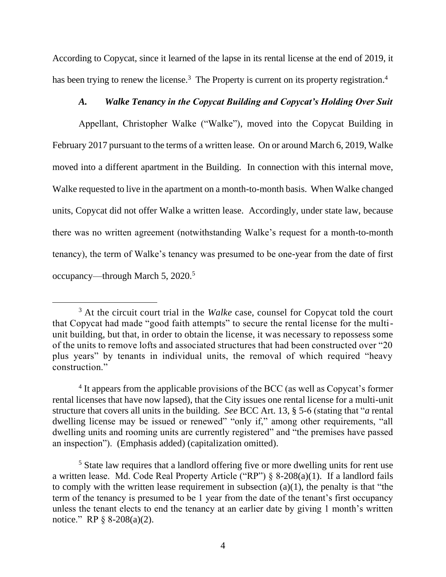According to Copycat, since it learned of the lapse in its rental license at the end of 2019, it has been trying to renew the license.<sup>3</sup> The Property is current on its property registration.<sup>4</sup>

# *A. Walke Tenancy in the Copycat Building and Copycat's Holding Over Suit*

Appellant, Christopher Walke ("Walke"), moved into the Copycat Building in February 2017 pursuant to the terms of a written lease. On or around March 6, 2019, Walke moved into a different apartment in the Building. In connection with this internal move, Walke requested to live in the apartment on a month-to-month basis. When Walke changed units, Copycat did not offer Walke a written lease. Accordingly, under state law, because there was no written agreement (notwithstanding Walke's request for a month-to-month tenancy), the term of Walke's tenancy was presumed to be one-year from the date of first occupancy—through March 5, 2020.<sup>5</sup>

<sup>&</sup>lt;sup>3</sup> At the circuit court trial in the *Walke* case, counsel for Copycat told the court that Copycat had made "good faith attempts" to secure the rental license for the multiunit building, but that, in order to obtain the license, it was necessary to repossess some of the units to remove lofts and associated structures that had been constructed over "20 plus years" by tenants in individual units, the removal of which required "heavy construction."

<sup>&</sup>lt;sup>4</sup> It appears from the applicable provisions of the BCC (as well as Copycat's former rental licenses that have now lapsed), that the City issues one rental license for a multi-unit structure that covers all units in the building. *See* BCC Art. 13, § 5-6 (stating that "*a* rental dwelling license may be issued or renewed" "only if," among other requirements, "all dwelling units and rooming units are currently registered" and "the premises have passed an inspection"). (Emphasis added) (capitalization omitted).

<sup>&</sup>lt;sup>5</sup> State law requires that a landlord offering five or more dwelling units for rent use a written lease. Md. Code Real Property Article ("RP") § 8-208(a)(1). If a landlord fails to comply with the written lease requirement in subsection  $(a)(1)$ , the penalty is that "the term of the tenancy is presumed to be 1 year from the date of the tenant's first occupancy unless the tenant elects to end the tenancy at an earlier date by giving 1 month's written notice." RP § 8-208(a)(2).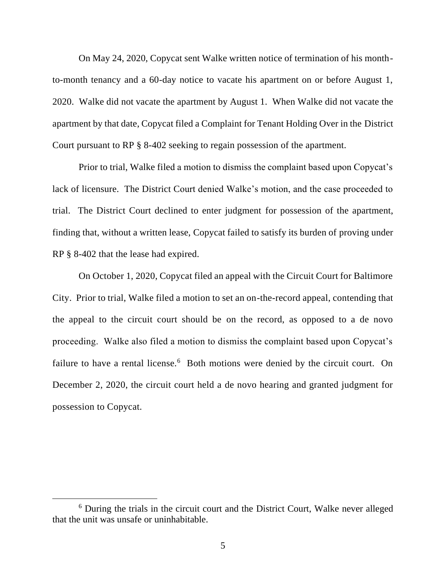On May 24, 2020, Copycat sent Walke written notice of termination of his monthto-month tenancy and a 60-day notice to vacate his apartment on or before August 1, 2020. Walke did not vacate the apartment by August 1. When Walke did not vacate the apartment by that date, Copycat filed a Complaint for Tenant Holding Over in the District Court pursuant to RP § 8-402 seeking to regain possession of the apartment.

Prior to trial, Walke filed a motion to dismiss the complaint based upon Copycat's lack of licensure. The District Court denied Walke's motion, and the case proceeded to trial. The District Court declined to enter judgment for possession of the apartment, finding that, without a written lease, Copycat failed to satisfy its burden of proving under RP § 8-402 that the lease had expired.

On October 1, 2020, Copycat filed an appeal with the Circuit Court for Baltimore City. Prior to trial, Walke filed a motion to set an on-the-record appeal, contending that the appeal to the circuit court should be on the record, as opposed to a de novo proceeding. Walke also filed a motion to dismiss the complaint based upon Copycat's failure to have a rental license.<sup>6</sup> Both motions were denied by the circuit court. On December 2, 2020, the circuit court held a de novo hearing and granted judgment for possession to Copycat.

<sup>6</sup> During the trials in the circuit court and the District Court, Walke never alleged that the unit was unsafe or uninhabitable.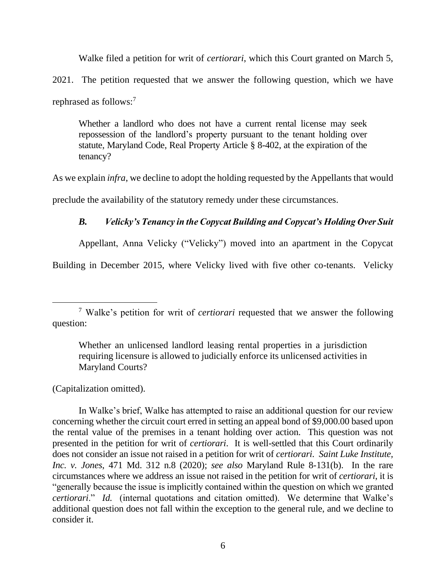Walke filed a petition for writ of *certiorari*, which this Court granted on March 5, 2021. The petition requested that we answer the following question, which we have rephrased as follows:<sup>7</sup>

Whether a landlord who does not have a current rental license may seek repossession of the landlord's property pursuant to the tenant holding over statute, Maryland Code, Real Property Article § 8-402, at the expiration of the tenancy?

As we explain *infra*, we decline to adopt the holding requested by the Appellants that would preclude the availability of the statutory remedy under these circumstances.

# *B. Velicky's Tenancy in the Copycat Building and Copycat's Holding Over Suit*

Appellant, Anna Velicky ("Velicky") moved into an apartment in the Copycat

Building in December 2015, where Velicky lived with five other co-tenants. Velicky

(Capitalization omitted).

In Walke's brief, Walke has attempted to raise an additional question for our review concerning whether the circuit court erred in setting an appeal bond of \$9,000.00 based upon the rental value of the premises in a tenant holding over action. This question was not presented in the petition for writ of *certiorari*. It is well-settled that this Court ordinarily does not consider an issue not raised in a petition for writ of *certiorari*. *Saint Luke Institute, Inc. v. Jones*, 471 Md. 312 n.8 (2020); *see also* Maryland Rule 8-131(b). In the rare circumstances where we address an issue not raised in the petition for writ of *certiorari*, it is "generally because the issue is implicitly contained within the question on which we granted *certiorari*." *Id.* (internal quotations and citation omitted). We determine that Walke's additional question does not fall within the exception to the general rule, and we decline to consider it.

<sup>7</sup> Walke's petition for writ of *certiorari* requested that we answer the following question:

Whether an unlicensed landlord leasing rental properties in a jurisdiction requiring licensure is allowed to judicially enforce its unlicensed activities in Maryland Courts?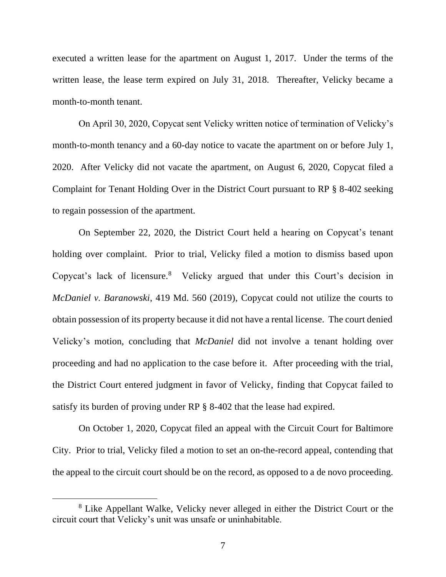executed a written lease for the apartment on August 1, 2017. Under the terms of the written lease, the lease term expired on July 31, 2018. Thereafter, Velicky became a month-to-month tenant.

On April 30, 2020, Copycat sent Velicky written notice of termination of Velicky's month-to-month tenancy and a 60-day notice to vacate the apartment on or before July 1, 2020. After Velicky did not vacate the apartment, on August 6, 2020, Copycat filed a Complaint for Tenant Holding Over in the District Court pursuant to RP § 8-402 seeking to regain possession of the apartment.

On September 22, 2020, the District Court held a hearing on Copycat's tenant holding over complaint. Prior to trial, Velicky filed a motion to dismiss based upon Copycat's lack of licensure.<sup>8</sup> Velicky argued that under this Court's decision in *McDaniel v. Baranowski*, 419 Md. 560 (2019), Copycat could not utilize the courts to obtain possession of its property because it did not have a rental license. The court denied Velicky's motion, concluding that *McDaniel* did not involve a tenant holding over proceeding and had no application to the case before it. After proceeding with the trial, the District Court entered judgment in favor of Velicky, finding that Copycat failed to satisfy its burden of proving under RP § 8-402 that the lease had expired.

On October 1, 2020, Copycat filed an appeal with the Circuit Court for Baltimore City. Prior to trial, Velicky filed a motion to set an on-the-record appeal, contending that the appeal to the circuit court should be on the record, as opposed to a de novo proceeding.

<sup>8</sup> Like Appellant Walke, Velicky never alleged in either the District Court or the circuit court that Velicky's unit was unsafe or uninhabitable.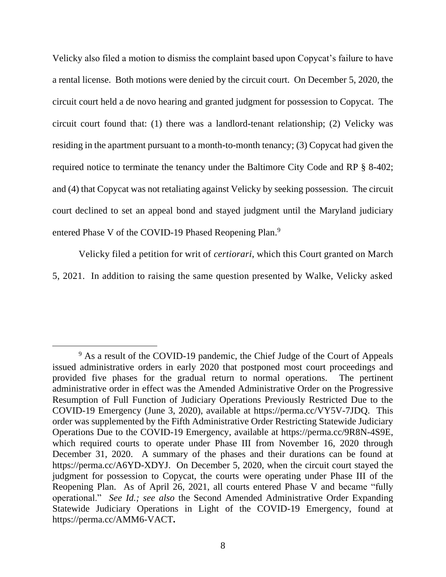Velicky also filed a motion to dismiss the complaint based upon Copycat's failure to have a rental license. Both motions were denied by the circuit court. On December 5, 2020, the circuit court held a de novo hearing and granted judgment for possession to Copycat. The circuit court found that: (1) there was a landlord-tenant relationship; (2) Velicky was residing in the apartment pursuant to a month-to-month tenancy; (3) Copycat had given the required notice to terminate the tenancy under the Baltimore City Code and RP § 8-402; and (4) that Copycat was not retaliating against Velicky by seeking possession. The circuit court declined to set an appeal bond and stayed judgment until the Maryland judiciary entered Phase V of the COVID-19 Phased Reopening Plan.<sup>9</sup>

Velicky filed a petition for writ of *certiorari*, which this Court granted on March 5, 2021. In addition to raising the same question presented by Walke, Velicky asked

<sup>&</sup>lt;sup>9</sup> As a result of the COVID-19 pandemic, the Chief Judge of the Court of Appeals issued administrative orders in early 2020 that postponed most court proceedings and provided five phases for the gradual return to normal operations. The pertinent administrative order in effect was the Amended Administrative Order on the Progressive Resumption of Full Function of Judiciary Operations Previously Restricted Due to the COVID-19 Emergency (June 3, 2020), available at [https://perma.cc/VY5V-7JDQ.](https://perma.cc/VY5V-7JDQ) This order was supplemented by the Fifth Administrative Order Restricting Statewide Judiciary Operations Due to the COVID-19 Emergency, available at [https://perma.cc/9R8N-4S9E,](https://perma.cc/9R8N-4S9E) which required courts to operate under Phase III from November 16, 2020 through December 31, 2020. A summary of the phases and their durations can be found at [https://perma.cc/A6YD-XDYJ.](https://perma.cc/A6YD-XDYJ) On December 5, 2020, when the circuit court stayed the judgment for possession to Copycat, the courts were operating under Phase III of the Reopening Plan. As of April 26, 2021, all courts entered Phase V and became "fully operational." *See Id.; see also* the Second Amended Administrative Order Expanding Statewide Judiciary Operations in Light of the COVID-19 Emergency, found at <https://perma.cc/AMM6-VACT>**.**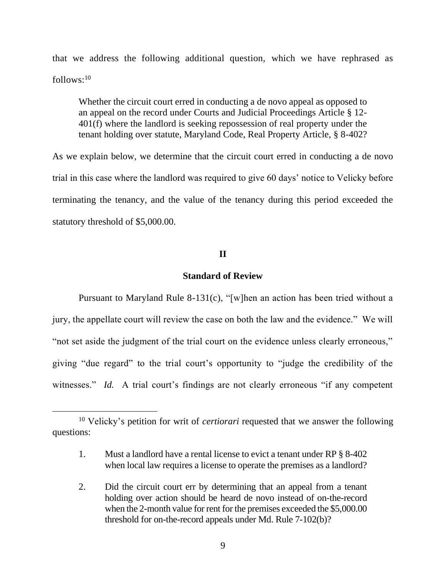that we address the following additional question, which we have rephrased as  $follows: <sup>10</sup>$ 

Whether the circuit court erred in conducting a de novo appeal as opposed to an appeal on the record under Courts and Judicial Proceedings Article § 12- 401(f) where the landlord is seeking repossession of real property under the tenant holding over statute, Maryland Code, Real Property Article, § 8-402?

As we explain below, we determine that the circuit court erred in conducting a de novo trial in this case where the landlord was required to give 60 days' notice to Velicky before terminating the tenancy, and the value of the tenancy during this period exceeded the statutory threshold of \$5,000.00.

# **II**

## **Standard of Review**

Pursuant to Maryland Rule 8-131(c), "[w]hen an action has been tried without a jury, the appellate court will review the case on both the law and the evidence." We will "not set aside the judgment of the trial court on the evidence unless clearly erroneous," giving "due regard" to the trial court's opportunity to "judge the credibility of the witnesses." *Id.* A trial court's findings are not clearly erroneous "if any competent

<sup>10</sup> Velicky's petition for writ of *certiorari* requested that we answer the following questions:

<sup>1.</sup> Must a landlord have a rental license to evict a tenant under RP § 8-402 when local law requires a license to operate the premises as a landlord?

<sup>2.</sup> Did the circuit court err by determining that an appeal from a tenant holding over action should be heard de novo instead of on-the-record when the 2-month value for rent for the premises exceeded the \$5,000.00 threshold for on-the-record appeals under Md. Rule 7-102(b)?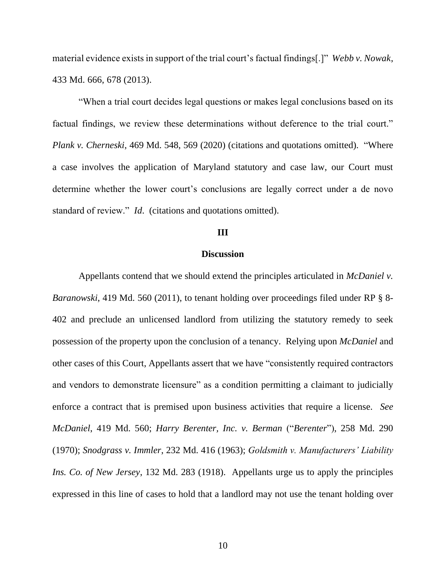material evidence exists in support of the trial court's factual findings[.]" *Webb v. Nowak*, 433 Md. 666, 678 (2013).

"When a trial court decides legal questions or makes legal conclusions based on its factual findings, we review these determinations without deference to the trial court." *Plank v. Cherneski*, 469 Md. 548, 569 (2020) (citations and quotations omitted). "Where a case involves the application of Maryland statutory and case law, our Court must determine whether the lower court's conclusions are legally correct under a de novo standard of review." *Id*. (citations and quotations omitted).

### **III**

# **Discussion**

Appellants contend that we should extend the principles articulated in *McDaniel v. Baranowski*, 419 Md. 560 (2011), to tenant holding over proceedings filed under RP § 8- 402 and preclude an unlicensed landlord from utilizing the statutory remedy to seek possession of the property upon the conclusion of a tenancy. Relying upon *McDaniel* and other cases of this Court, Appellants assert that we have "consistently required contractors and vendors to demonstrate licensure" as a condition permitting a claimant to judicially enforce a contract that is premised upon business activities that require a license. *See McDaniel*, 419 Md. 560; *Harry Berenter, Inc. v. Berman* ("*Berenter*"), 258 Md. 290 (1970); *Snodgrass v. Immler*, 232 Md. 416 (1963); *Goldsmith v. Manufacturers' Liability Ins. Co. of New Jersey*, 132 Md. 283 (1918). Appellants urge us to apply the principles expressed in this line of cases to hold that a landlord may not use the tenant holding over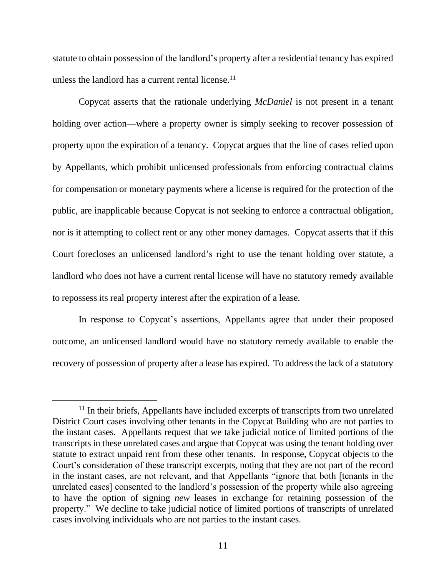statute to obtain possession of the landlord's property after a residential tenancy has expired unless the landlord has a current rental license.<sup>11</sup>

Copycat asserts that the rationale underlying *McDaniel* is not present in a tenant holding over action—where a property owner is simply seeking to recover possession of property upon the expiration of a tenancy. Copycat argues that the line of cases relied upon by Appellants, which prohibit unlicensed professionals from enforcing contractual claims for compensation or monetary payments where a license is required for the protection of the public, are inapplicable because Copycat is not seeking to enforce a contractual obligation, nor is it attempting to collect rent or any other money damages. Copycat asserts that if this Court forecloses an unlicensed landlord's right to use the tenant holding over statute, a landlord who does not have a current rental license will have no statutory remedy available to repossess its real property interest after the expiration of a lease.

In response to Copycat's assertions, Appellants agree that under their proposed outcome, an unlicensed landlord would have no statutory remedy available to enable the recovery of possession of property after a lease has expired. To address the lack of a statutory

<sup>&</sup>lt;sup>11</sup> In their briefs, Appellants have included excerpts of transcripts from two unrelated District Court cases involving other tenants in the Copycat Building who are not parties to the instant cases. Appellants request that we take judicial notice of limited portions of the transcripts in these unrelated cases and argue that Copycat was using the tenant holding over statute to extract unpaid rent from these other tenants. In response, Copycat objects to the Court's consideration of these transcript excerpts, noting that they are not part of the record in the instant cases, are not relevant, and that Appellants "ignore that both [tenants in the unrelated cases] consented to the landlord's possession of the property while also agreeing to have the option of signing *new* leases in exchange for retaining possession of the property." We decline to take judicial notice of limited portions of transcripts of unrelated cases involving individuals who are not parties to the instant cases.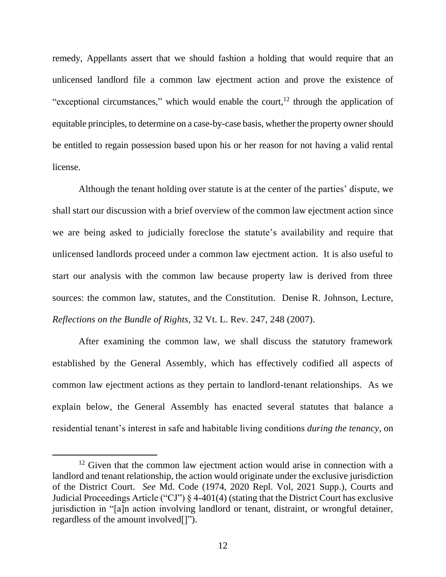remedy, Appellants assert that we should fashion a holding that would require that an unlicensed landlord file a common law ejectment action and prove the existence of "exceptional circumstances," which would enable the court, $12$  through the application of equitable principles, to determine on a case-by-case basis, whether the property owner should be entitled to regain possession based upon his or her reason for not having a valid rental license.

Although the tenant holding over statute is at the center of the parties' dispute, we shall start our discussion with a brief overview of the common law ejectment action since we are being asked to judicially foreclose the statute's availability and require that unlicensed landlords proceed under a common law ejectment action. It is also useful to start our analysis with the common law because property law is derived from three sources: the common law, statutes, and the Constitution. Denise R. Johnson, Lecture, *Reflections on the Bundle of Rights*, 32 Vt. L. Rev. 247, 248 (2007).

After examining the common law, we shall discuss the statutory framework established by the General Assembly, which has effectively codified all aspects of common law ejectment actions as they pertain to landlord-tenant relationships. As we explain below, the General Assembly has enacted several statutes that balance a residential tenant's interest in safe and habitable living conditions *during the tenancy*, on

 $12$  Given that the common law ejectment action would arise in connection with a landlord and tenant relationship, the action would originate under the exclusive jurisdiction of the District Court. *See* Md. Code (1974, 2020 Repl. Vol, 2021 Supp.), Courts and Judicial Proceedings Article ("CJ") § 4-401(4) (stating that the District Court has exclusive jurisdiction in "[a]n action involving landlord or tenant, distraint, or wrongful detainer, regardless of the amount involved[]").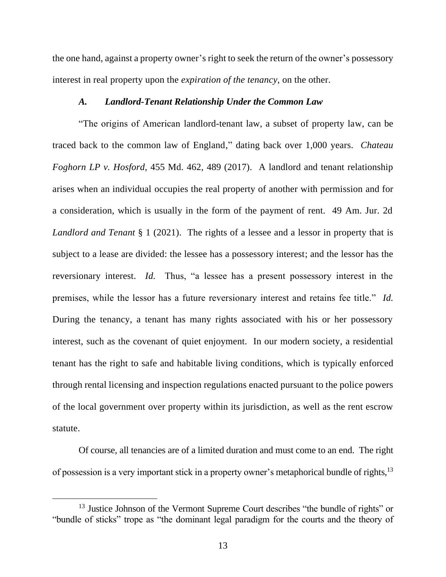the one hand, against a property owner's right to seek the return of the owner's possessory interest in real property upon the *expiration of the tenancy*, on the other.

# *A. Landlord-Tenant Relationship Under the Common Law*

"The origins of American landlord-tenant law, a subset of property law, can be traced back to the common law of England," dating back over 1,000 years. *Chateau Foghorn LP v. Hosford*, 455 Md. 462, 489 (2017). A landlord and tenant relationship arises when an individual occupies the real property of another with permission and for a consideration, which is usually in the form of the payment of rent. 49 Am. Jur. 2d *Landlord and Tenant* § 1 (2021). The rights of a lessee and a lessor in property that is subject to a lease are divided: the lessee has a possessory interest; and the lessor has the reversionary interest. *Id.* Thus, "a lessee has a present possessory interest in the premises, while the lessor has a future reversionary interest and retains fee title." *Id.* During the tenancy, a tenant has many rights associated with his or her possessory interest, such as the covenant of quiet enjoyment. In our modern society, a residential tenant has the right to safe and habitable living conditions, which is typically enforced through rental licensing and inspection regulations enacted pursuant to the police powers of the local government over property within its jurisdiction, as well as the rent escrow statute.

Of course, all tenancies are of a limited duration and must come to an end. The right of possession is a very important stick in a property owner's metaphorical bundle of rights, <sup>13</sup>

<sup>&</sup>lt;sup>13</sup> Justice Johnson of the Vermont Supreme Court describes "the bundle of rights" or "bundle of sticks" trope as "the dominant legal paradigm for the courts and the theory of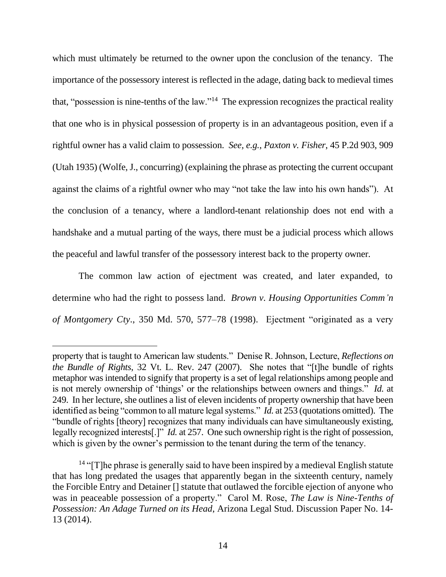which must ultimately be returned to the owner upon the conclusion of the tenancy. The importance of the possessory interest is reflected in the adage, dating back to medieval times that, "possession is nine-tenths of the law."<sup>14</sup> The expression recognizes the practical reality that one who is in physical possession of property is in an advantageous position, even if a rightful owner has a valid claim to possession. *See, e.g.*, *Paxton v. Fisher*, 45 P.2d 903, 909 (Utah 1935) (Wolfe, J., concurring) (explaining the phrase as protecting the current occupant against the claims of a rightful owner who may "not take the law into his own hands"). At the conclusion of a tenancy, where a landlord-tenant relationship does not end with a handshake and a mutual parting of the ways, there must be a judicial process which allows the peaceful and lawful transfer of the possessory interest back to the property owner.

The common law action of ejectment was created, and later expanded, to determine who had the right to possess land. *Brown v. Housing Opportunities Comm'n of Montgomery Cty*., 350 Md. 570, 577–78 (1998). Ejectment "originated as a very

property that is taught to American law students." Denise R. Johnson, Lecture, *Reflections on the Bundle of Rights*, 32 Vt. L. Rev. 247 (2007). She notes that "[t]he bundle of rights metaphor was intended to signify that property is a set of legal relationships among people and is not merely ownership of 'things' or the relationships between owners and things." *Id.* at 249. In her lecture, she outlines a list of eleven incidents of property ownership that have been identified as being "common to all mature legal systems." *Id.* at 253 (quotations omitted). The "bundle of rights [theory] recognizes that many individuals can have simultaneously existing, legally recognized interests[.]" *Id.* at 257. One such ownership right is the right of possession, which is given by the owner's permission to the tenant during the term of the tenancy.

 $14$  "[T]he phrase is generally said to have been inspired by a medieval English statute that has long predated the usages that apparently began in the sixteenth century, namely the Forcible Entry and Detainer [] statute that outlawed the forcible ejection of anyone who was in peaceable possession of a property." Carol M. Rose, *The Law is Nine-Tenths of Possession: An Adage Turned on its Head*, Arizona Legal Stud. Discussion Paper No. 14- 13 (2014).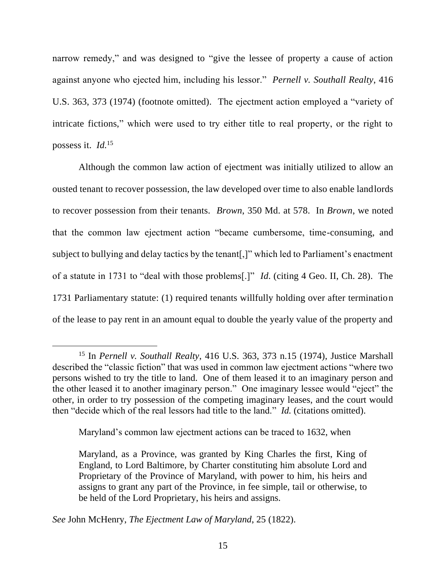narrow remedy," and was designed to "give the lessee of property a cause of action against anyone who ejected him, including his lessor." *Pernell v. Southall Realty*, 416 U.S. 363, 373 (1974) (footnote omitted). The ejectment action employed a "variety of intricate fictions," which were used to try either title to real property, or the right to possess it. *Id.*<sup>15</sup>

Although the common law action of ejectment was initially utilized to allow an ousted tenant to recover possession, the law developed over time to also enable landlords to recover possession from their tenants. *Brown*, 350 Md. at 578. In *Brown*, we noted that the common law ejectment action "became cumbersome, time-consuming, and subject to bullying and delay tactics by the tenant[,]" which led to Parliament's enactment of a statute in 1731 to "deal with those problems[.]" *Id*. (citing 4 Geo. II, Ch. 28). The 1731 Parliamentary statute: (1) required tenants willfully holding over after termination of the lease to pay rent in an amount equal to double the yearly value of the property and

Maryland's common law ejectment actions can be traced to 1632, when

<sup>15</sup> In *Pernell v. Southall Realty*, 416 U.S. 363, 373 n.15 (1974), Justice Marshall described the "classic fiction" that was used in common law ejectment actions "where two persons wished to try the title to land. One of them leased it to an imaginary person and the other leased it to another imaginary person." One imaginary lessee would "eject" the other, in order to try possession of the competing imaginary leases, and the court would then "decide which of the real lessors had title to the land." *Id.* (citations omitted).

Maryland, as a Province, was granted by King Charles the first, King of England, to Lord Baltimore, by Charter constituting him absolute Lord and Proprietary of the Province of Maryland, with power to him, his heirs and assigns to grant any part of the Province, in fee simple, tail or otherwise, to be held of the Lord Proprietary, his heirs and assigns.

*See* John McHenry, *The Ejectment Law of Maryland*, 25 (1822).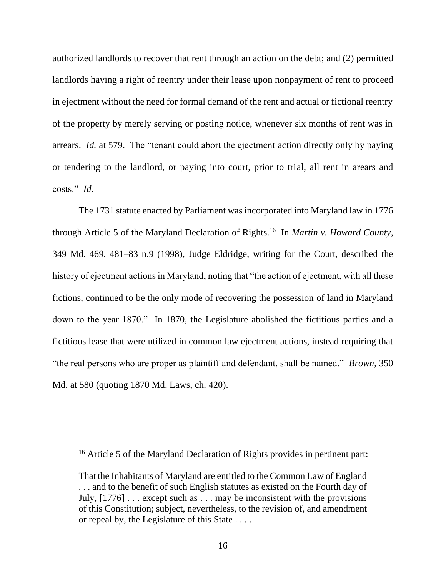authorized landlords to recover that rent through an action on the debt; and (2) permitted landlords having a right of reentry under their lease upon nonpayment of rent to proceed in ejectment without the need for formal demand of the rent and actual or fictional reentry of the property by merely serving or posting notice, whenever six months of rent was in arrears. *Id.* at 579. The "tenant could abort the ejectment action directly only by paying or tendering to the landlord, or paying into court, prior to trial, all rent in arears and costs." *Id.*

The 1731 statute enacted by Parliament was incorporated into Maryland law in 1776 through Article 5 of the Maryland Declaration of Rights.<sup>16</sup> In *Martin v. Howard County*, 349 Md. 469, 481–83 n.9 (1998), Judge Eldridge, writing for the Court, described the history of ejectment actions in Maryland, noting that "the action of ejectment, with all these fictions, continued to be the only mode of recovering the possession of land in Maryland down to the year 1870." In 1870, the Legislature abolished the fictitious parties and a fictitious lease that were utilized in common law ejectment actions, instead requiring that "the real persons who are proper as plaintiff and defendant, shall be named." *Brown*, 350 Md. at 580 (quoting 1870 Md. Laws, ch. 420).

<sup>&</sup>lt;sup>16</sup> Article 5 of the Maryland Declaration of Rights provides in pertinent part:

That the Inhabitants of Maryland are entitled to the Common Law of England ... and to the benefit of such English statutes as existed on the Fourth day of July, [1776] . . . except such as . . . may be inconsistent with the provisions of this Constitution; subject, nevertheless, to the revision of, and amendment or repeal by, the Legislature of this State . . . .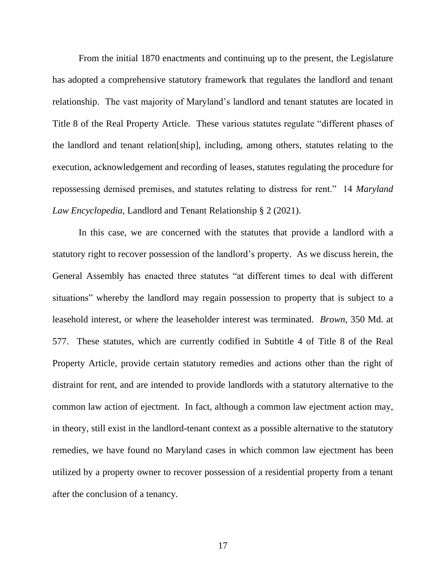From the initial 1870 enactments and continuing up to the present, the Legislature has adopted a comprehensive statutory framework that regulates the landlord and tenant relationship. The vast majority of Maryland's landlord and tenant statutes are located in Title 8 of the Real Property Article. These various statutes regulate "different phases of the landlord and tenant relation[ship], including, among others, statutes relating to the execution, acknowledgement and recording of leases, statutes regulating the procedure for repossessing demised premises, and statutes relating to distress for rent." 14 *Maryland Law Encyclopedia*, Landlord and Tenant Relationship § 2 (2021).

In this case, we are concerned with the statutes that provide a landlord with a statutory right to recover possession of the landlord's property. As we discuss herein, the General Assembly has enacted three statutes "at different times to deal with different situations" whereby the landlord may regain possession to property that is subject to a leasehold interest, or where the leaseholder interest was terminated. *Brown*, 350 Md. at 577. These statutes, which are currently codified in Subtitle 4 of Title 8 of the Real Property Article, provide certain statutory remedies and actions other than the right of distraint for rent, and are intended to provide landlords with a statutory alternative to the common law action of ejectment. In fact, although a common law ejectment action may, in theory, still exist in the landlord-tenant context as a possible alternative to the statutory remedies, we have found no Maryland cases in which common law ejectment has been utilized by a property owner to recover possession of a residential property from a tenant after the conclusion of a tenancy.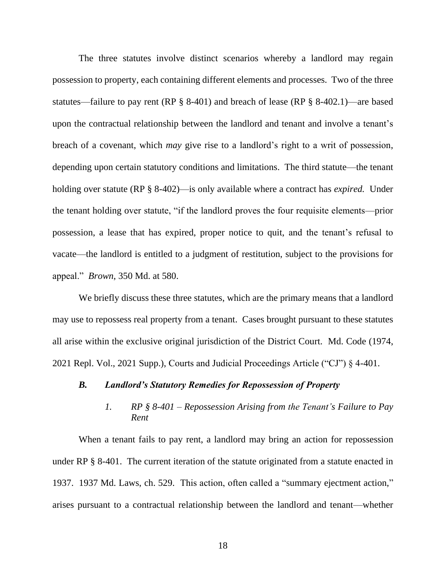The three statutes involve distinct scenarios whereby a landlord may regain possession to property, each containing different elements and processes. Two of the three statutes—failure to pay rent (RP § 8-401) and breach of lease (RP § 8-402.1)—are based upon the contractual relationship between the landlord and tenant and involve a tenant's breach of a covenant, which *may* give rise to a landlord's right to a writ of possession, depending upon certain statutory conditions and limitations. The third statute—the tenant holding over statute (RP § 8-402)—is only available where a contract has *expired.* Under the tenant holding over statute, "if the landlord proves the four requisite elements—prior possession, a lease that has expired, proper notice to quit, and the tenant's refusal to vacate—the landlord is entitled to a judgment of restitution, subject to the provisions for appeal." *Brown*, 350 Md. at 580.

We briefly discuss these three statutes, which are the primary means that a landlord may use to repossess real property from a tenant. Cases brought pursuant to these statutes all arise within the exclusive original jurisdiction of the District Court. Md. Code (1974, 2021 Repl. Vol., 2021 Supp.), Courts and Judicial Proceedings Article ("CJ") § 4-401.

## *B. Landlord's Statutory Remedies for Repossession of Property*

# *1. RP § 8-401 – Repossession Arising from the Tenant's Failure to Pay Rent*

When a tenant fails to pay rent, a landlord may bring an action for repossession under RP § 8-401. The current iteration of the statute originated from a statute enacted in 1937. 1937 Md. Laws, ch. 529. This action, often called a "summary ejectment action," arises pursuant to a contractual relationship between the landlord and tenant—whether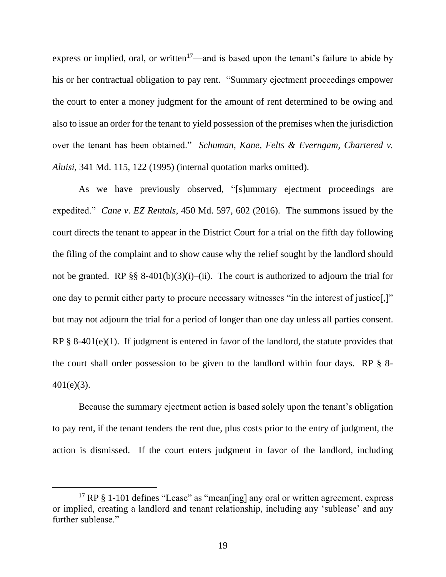express or implied, oral, or written<sup>17</sup>—and is based upon the tenant's failure to abide by his or her contractual obligation to pay rent. "Summary ejectment proceedings empower the court to enter a money judgment for the amount of rent determined to be owing and also to issue an order for the tenant to yield possession of the premises when the jurisdiction over the tenant has been obtained." *Schuman, Kane, Felts & Everngam, Chartered v. Aluisi*, 341 Md. 115, 122 (1995) (internal quotation marks omitted).

As we have previously observed, "[s]ummary ejectment proceedings are expedited." *Cane v. EZ Rentals*, 450 Md. 597, 602 (2016). The summons issued by the court directs the tenant to appear in the District Court for a trial on the fifth day following the filing of the complaint and to show cause why the relief sought by the landlord should not be granted. RP §§ 8-401(b)(3)(i)–(ii). The court is authorized to adjourn the trial for one day to permit either party to procure necessary witnesses "in the interest of justice[,]" but may not adjourn the trial for a period of longer than one day unless all parties consent. RP § 8-401(e)(1). If judgment is entered in favor of the landlord, the statute provides that the court shall order possession to be given to the landlord within four days. RP § 8- 401(e)(3).

Because the summary ejectment action is based solely upon the tenant's obligation to pay rent, if the tenant tenders the rent due, plus costs prior to the entry of judgment, the action is dismissed. If the court enters judgment in favor of the landlord, including

<sup>&</sup>lt;sup>17</sup> RP § 1-101 defines "Lease" as "mean[ing] any oral or written agreement, express or implied, creating a landlord and tenant relationship, including any 'sublease' and any further sublease."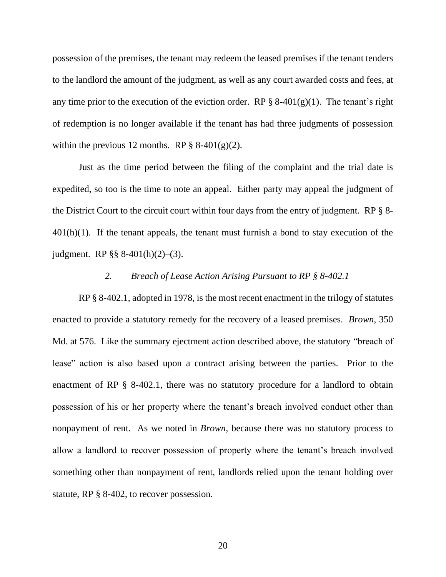possession of the premises, the tenant may redeem the leased premises if the tenant tenders to the landlord the amount of the judgment, as well as any court awarded costs and fees, at any time prior to the execution of the eviction order. RP  $\S$  8-401(g)(1). The tenant's right of redemption is no longer available if the tenant has had three judgments of possession within the previous 12 months. RP  $\S$  8-401(g)(2).

Just as the time period between the filing of the complaint and the trial date is expedited, so too is the time to note an appeal. Either party may appeal the judgment of the District Court to the circuit court within four days from the entry of judgment. RP § 8-  $401(h)(1)$ . If the tenant appeals, the tenant must furnish a bond to stay execution of the judgment. RP §§ 8-401(h)(2)–(3).

## *2. Breach of Lease Action Arising Pursuant to RP § 8-402.1*

RP § 8-402.1, adopted in 1978, is the most recent enactment in the trilogy of statutes enacted to provide a statutory remedy for the recovery of a leased premises. *Brown*, 350 Md. at 576. Like the summary ejectment action described above, the statutory "breach of lease" action is also based upon a contract arising between the parties. Prior to the enactment of RP § 8-402.1, there was no statutory procedure for a landlord to obtain possession of his or her property where the tenant's breach involved conduct other than nonpayment of rent. As we noted in *Brown*, because there was no statutory process to allow a landlord to recover possession of property where the tenant's breach involved something other than nonpayment of rent, landlords relied upon the tenant holding over statute, RP § 8-402, to recover possession.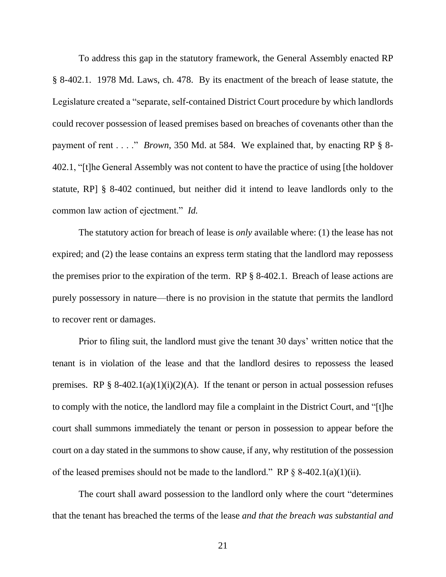To address this gap in the statutory framework, the General Assembly enacted RP § 8-402.1. 1978 Md. Laws, ch. 478. By its enactment of the breach of lease statute, the Legislature created a "separate, self-contained District Court procedure by which landlords could recover possession of leased premises based on breaches of covenants other than the payment of rent . . . ." *Brown*, 350 Md. at 584. We explained that, by enacting RP § 8- 402.1, "[t]he General Assembly was not content to have the practice of using [the holdover statute, RP] § 8-402 continued, but neither did it intend to leave landlords only to the common law action of ejectment." *Id.* 

The statutory action for breach of lease is *only* available where: (1) the lease has not expired; and (2) the lease contains an express term stating that the landlord may repossess the premises prior to the expiration of the term. RP § 8-402.1. Breach of lease actions are purely possessory in nature—there is no provision in the statute that permits the landlord to recover rent or damages.

Prior to filing suit, the landlord must give the tenant 30 days' written notice that the tenant is in violation of the lease and that the landlord desires to repossess the leased premises. RP § 8-402.1(a)(1)(i)(2)(A). If the tenant or person in actual possession refuses to comply with the notice, the landlord may file a complaint in the District Court, and "[t]he court shall summons immediately the tenant or person in possession to appear before the court on a day stated in the summons to show cause, if any, why restitution of the possession of the leased premises should not be made to the landlord." RP  $\S$  8-402.1(a)(1)(ii).

The court shall award possession to the landlord only where the court "determines that the tenant has breached the terms of the lease *and that the breach was substantial and*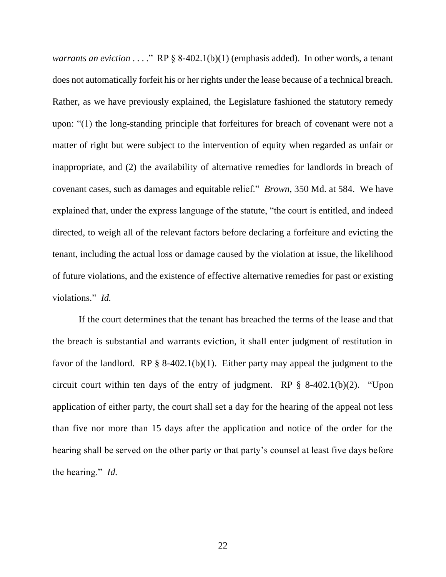*warrants an eviction* . . . ." RP § 8-402.1(b)(1) (emphasis added). In other words, a tenant does not automatically forfeit his or her rights under the lease because of a technical breach. Rather, as we have previously explained, the Legislature fashioned the statutory remedy upon: "(1) the long-standing principle that forfeitures for breach of covenant were not a matter of right but were subject to the intervention of equity when regarded as unfair or inappropriate, and (2) the availability of alternative remedies for landlords in breach of covenant cases, such as damages and equitable relief." *Brown*, 350 Md. at 584. We have explained that, under the express language of the statute, "the court is entitled, and indeed directed, to weigh all of the relevant factors before declaring a forfeiture and evicting the tenant, including the actual loss or damage caused by the violation at issue, the likelihood of future violations, and the existence of effective alternative remedies for past or existing violations." *Id.* 

If the court determines that the tenant has breached the terms of the lease and that the breach is substantial and warrants eviction, it shall enter judgment of restitution in favor of the landlord. RP  $\S$  8-402.1(b)(1). Either party may appeal the judgment to the circuit court within ten days of the entry of judgment. RP § 8-402.1(b)(2). "Upon application of either party, the court shall set a day for the hearing of the appeal not less than five nor more than 15 days after the application and notice of the order for the hearing shall be served on the other party or that party's counsel at least five days before the hearing." *Id.*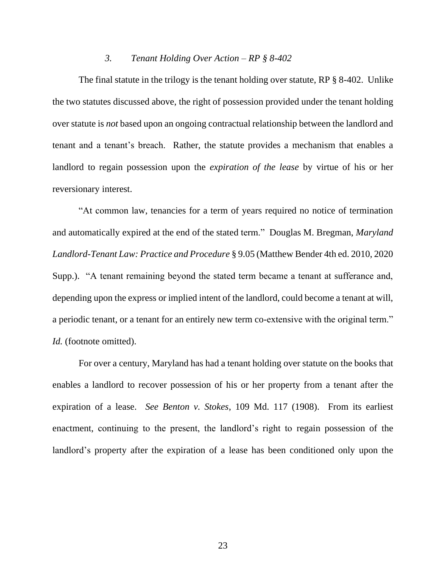### *3. Tenant Holding Over Action – RP § 8-402*

The final statute in the trilogy is the tenant holding over statute, RP § 8-402. Unlike the two statutes discussed above, the right of possession provided under the tenant holding over statute is *not* based upon an ongoing contractual relationship between the landlord and tenant and a tenant's breach. Rather, the statute provides a mechanism that enables a landlord to regain possession upon the *expiration of the lease* by virtue of his or her reversionary interest.

"At common law, tenancies for a term of years required no notice of termination and automatically expired at the end of the stated term." Douglas M. Bregman, *Maryland Landlord-Tenant Law: Practice and Procedure* § 9.05 (Matthew Bender 4th ed. 2010, 2020 Supp.). "A tenant remaining beyond the stated term became a tenant at sufferance and, depending upon the express or implied intent of the landlord, could become a tenant at will, a periodic tenant, or a tenant for an entirely new term co-extensive with the original term." *Id.* (footnote omitted).

For over a century, Maryland has had a tenant holding over statute on the books that enables a landlord to recover possession of his or her property from a tenant after the expiration of a lease. *See Benton v. Stokes*, 109 Md. 117 (1908). From its earliest enactment, continuing to the present, the landlord's right to regain possession of the landlord's property after the expiration of a lease has been conditioned only upon the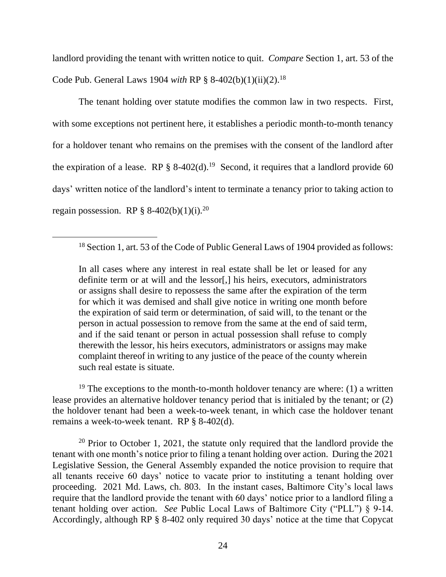landlord providing the tenant with written notice to quit. *Compare* Section 1, art. 53 of the Code Pub. General Laws 1904 *with* RP § 8-402(b)(1)(ii)(2).<sup>18</sup>

The tenant holding over statute modifies the common law in two respects. First, with some exceptions not pertinent here, it establishes a periodic month-to-month tenancy for a holdover tenant who remains on the premises with the consent of the landlord after the expiration of a lease. RP § 8-402(d).<sup>19</sup> Second, it requires that a landlord provide 60 days' written notice of the landlord's intent to terminate a tenancy prior to taking action to regain possession. RP  $§ 8-402(b)(1)(i).^{20}$ 

In all cases where any interest in real estate shall be let or leased for any definite term or at will and the lessor[,] his heirs, executors, administrators or assigns shall desire to repossess the same after the expiration of the term for which it was demised and shall give notice in writing one month before the expiration of said term or determination, of said will, to the tenant or the person in actual possession to remove from the same at the end of said term, and if the said tenant or person in actual possession shall refuse to comply therewith the lessor, his heirs executors, administrators or assigns may make complaint thereof in writing to any justice of the peace of the county wherein such real estate is situate.

<sup>19</sup> The exceptions to the month-to-month holdover tenancy are where: (1) a written lease provides an alternative holdover tenancy period that is initialed by the tenant; or (2) the holdover tenant had been a week-to-week tenant, in which case the holdover tenant remains a week-to-week tenant. RP § 8-402(d).

 $20$  Prior to October 1, 2021, the statute only required that the landlord provide the tenant with one month's notice prior to filing a tenant holding over action. During the 2021 Legislative Session, the General Assembly expanded the notice provision to require that all tenants receive 60 days' notice to vacate prior to instituting a tenant holding over proceeding. 2021 Md. Laws, ch. 803. In the instant cases, Baltimore City's local laws require that the landlord provide the tenant with 60 days' notice prior to a landlord filing a tenant holding over action. *See* Public Local Laws of Baltimore City ("PLL") § 9-14. Accordingly, although RP § 8-402 only required 30 days' notice at the time that Copycat

<sup>&</sup>lt;sup>18</sup> Section 1, art. 53 of the Code of Public General Laws of 1904 provided as follows: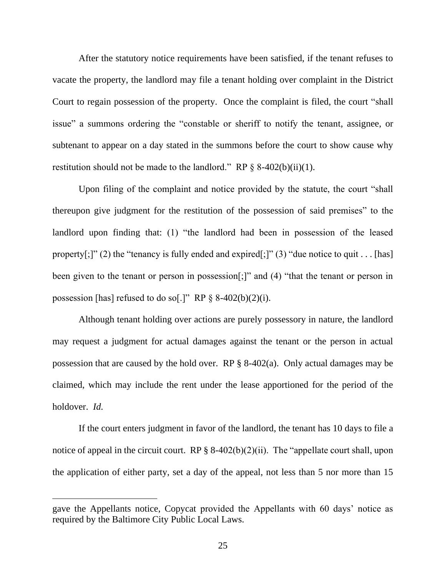After the statutory notice requirements have been satisfied, if the tenant refuses to vacate the property, the landlord may file a tenant holding over complaint in the District Court to regain possession of the property. Once the complaint is filed, the court "shall issue" a summons ordering the "constable or sheriff to notify the tenant, assignee, or subtenant to appear on a day stated in the summons before the court to show cause why restitution should not be made to the landlord." RP  $\S$  8-402(b)(ii)(1).

Upon filing of the complaint and notice provided by the statute, the court "shall thereupon give judgment for the restitution of the possession of said premises" to the landlord upon finding that: (1) "the landlord had been in possession of the leased property[;]" (2) the "tenancy is fully ended and expired[;]" (3) "due notice to quit . . . [has] been given to the tenant or person in possession[;]" and (4) "that the tenant or person in possession [has] refused to do so[.]" RP  $\S$  8-402(b)(2)(i).

Although tenant holding over actions are purely possessory in nature, the landlord may request a judgment for actual damages against the tenant or the person in actual possession that are caused by the hold over. RP § 8-402(a). Only actual damages may be claimed, which may include the rent under the lease apportioned for the period of the holdover. *Id.*

If the court enters judgment in favor of the landlord, the tenant has 10 days to file a notice of appeal in the circuit court. RP  $\S$  8-402(b)(2)(ii). The "appellate court shall, upon the application of either party, set a day of the appeal, not less than 5 nor more than 15

gave the Appellants notice, Copycat provided the Appellants with 60 days' notice as required by the Baltimore City Public Local Laws.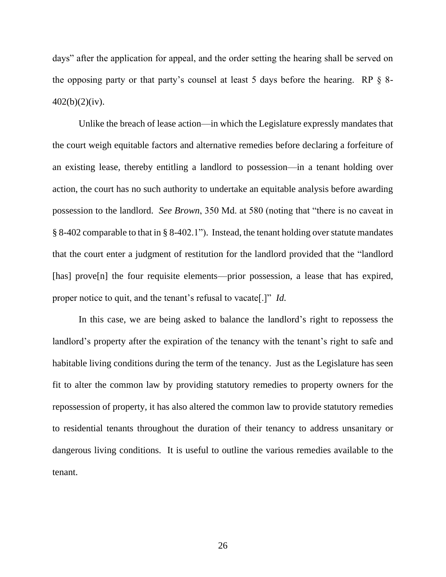days" after the application for appeal, and the order setting the hearing shall be served on the opposing party or that party's counsel at least 5 days before the hearing. RP  $\S$  8-402(b)(2)(iv).

Unlike the breach of lease action—in which the Legislature expressly mandates that the court weigh equitable factors and alternative remedies before declaring a forfeiture of an existing lease, thereby entitling a landlord to possession—in a tenant holding over action, the court has no such authority to undertake an equitable analysis before awarding possession to the landlord. *See Brown*, 350 Md. at 580 (noting that "there is no caveat in § 8-402 comparable to that in § 8-402.1"). Instead, the tenant holding over statute mandates that the court enter a judgment of restitution for the landlord provided that the "landlord [has] prove[n] the four requisite elements—prior possession, a lease that has expired, proper notice to quit, and the tenant's refusal to vacate[.]" *Id.*

In this case, we are being asked to balance the landlord's right to repossess the landlord's property after the expiration of the tenancy with the tenant's right to safe and habitable living conditions during the term of the tenancy. Just as the Legislature has seen fit to alter the common law by providing statutory remedies to property owners for the repossession of property, it has also altered the common law to provide statutory remedies to residential tenants throughout the duration of their tenancy to address unsanitary or dangerous living conditions. It is useful to outline the various remedies available to the tenant.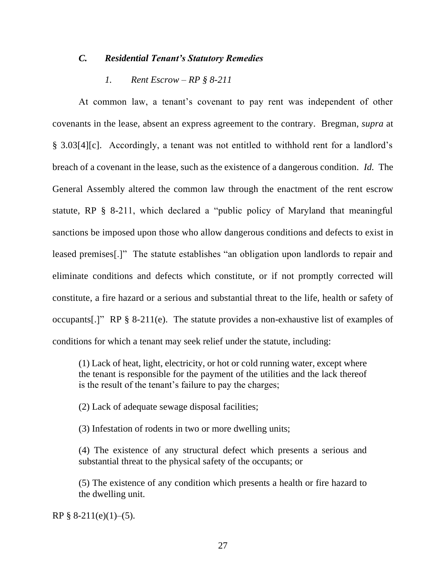# *C. Residential Tenant's Statutory Remedies*

# *1. Rent Escrow – RP § 8-211*

At common law, a tenant's covenant to pay rent was independent of other covenants in the lease, absent an express agreement to the contrary. Bregman, *supra* at § 3.03[4][c]. Accordingly, a tenant was not entitled to withhold rent for a landlord's breach of a covenant in the lease, such as the existence of a dangerous condition. *Id.* The General Assembly altered the common law through the enactment of the rent escrow statute, RP § 8-211, which declared a "public policy of Maryland that meaningful sanctions be imposed upon those who allow dangerous conditions and defects to exist in leased premises[.]" The statute establishes "an obligation upon landlords to repair and eliminate conditions and defects which constitute, or if not promptly corrected will constitute, a fire hazard or a serious and substantial threat to the life, health or safety of occupants[.]" RP § 8-211(e). The statute provides a non-exhaustive list of examples of conditions for which a tenant may seek relief under the statute, including:

(1) Lack of heat, light, electricity, or hot or cold running water, except where the tenant is responsible for the payment of the utilities and the lack thereof is the result of the tenant's failure to pay the charges;

(2) Lack of adequate sewage disposal facilities;

(3) Infestation of rodents in two or more dwelling units;

(4) The existence of any structural defect which presents a serious and substantial threat to the physical safety of the occupants; or

(5) The existence of any condition which presents a health or fire hazard to the dwelling unit.

RP §  $8-211(e)(1)–(5)$ .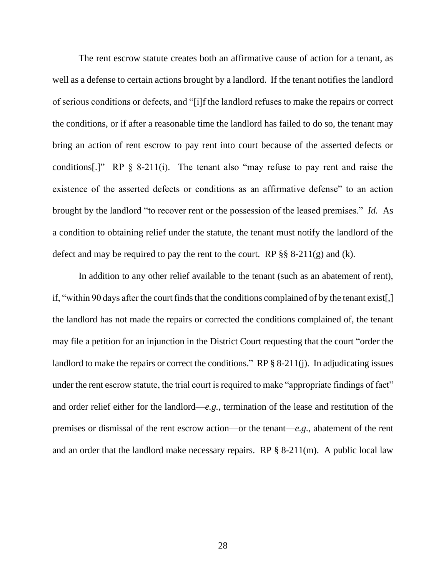The rent escrow statute creates both an affirmative cause of action for a tenant, as well as a defense to certain actions brought by a landlord. If the tenant notifies the landlord of serious conditions or defects, and "[i]f the landlord refuses to make the repairs or correct the conditions, or if after a reasonable time the landlord has failed to do so, the tenant may bring an action of rent escrow to pay rent into court because of the asserted defects or conditions[.]" RP  $\S$  8-211(i). The tenant also "may refuse to pay rent and raise the existence of the asserted defects or conditions as an affirmative defense" to an action brought by the landlord "to recover rent or the possession of the leased premises." *Id.* As a condition to obtaining relief under the statute, the tenant must notify the landlord of the defect and may be required to pay the rent to the court. RP  $\S$ § 8-211(g) and (k).

In addition to any other relief available to the tenant (such as an abatement of rent), if, "within 90 days after the court finds that the conditions complained of by the tenant exist[,] the landlord has not made the repairs or corrected the conditions complained of, the tenant may file a petition for an injunction in the District Court requesting that the court "order the landlord to make the repairs or correct the conditions." RP § 8-211(j). In adjudicating issues under the rent escrow statute, the trial court is required to make "appropriate findings of fact" and order relief either for the landlord—*e.g.*, termination of the lease and restitution of the premises or dismissal of the rent escrow action—or the tenant—*e.g.*, abatement of the rent and an order that the landlord make necessary repairs. RP  $\S$  8-211(m). A public local law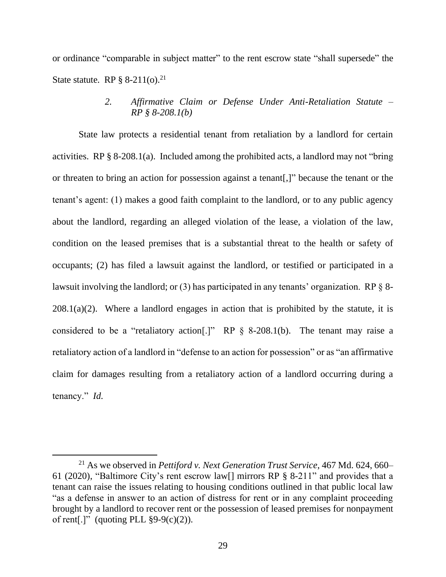or ordinance "comparable in subject matter" to the rent escrow state "shall supersede" the State statute. RP  $\S 8-211(0).^{21}$ 

> *2. Affirmative Claim or Defense Under Anti-Retaliation Statute – RP § 8-208.1(b)*

State law protects a residential tenant from retaliation by a landlord for certain activities. RP § 8-208.1(a). Included among the prohibited acts, a landlord may not "bring or threaten to bring an action for possession against a tenant[,]" because the tenant or the tenant's agent: (1) makes a good faith complaint to the landlord, or to any public agency about the landlord, regarding an alleged violation of the lease, a violation of the law, condition on the leased premises that is a substantial threat to the health or safety of occupants; (2) has filed a lawsuit against the landlord, or testified or participated in a lawsuit involving the landlord; or (3) has participated in any tenants' organization. RP § 8- $208.1(a)(2)$ . Where a landlord engages in action that is prohibited by the statute, it is considered to be a "retaliatory action[.]" RP § 8-208.1(b). The tenant may raise a retaliatory action of a landlord in "defense to an action for possession" or as "an affirmative claim for damages resulting from a retaliatory action of a landlord occurring during a tenancy." *Id.*

<sup>21</sup> As we observed in *Pettiford v. Next Generation Trust Service*, 467 Md. 624, 660– 61 (2020), "Baltimore City's rent escrow law[] mirrors RP § 8-211" and provides that a tenant can raise the issues relating to housing conditions outlined in that public local law "as a defense in answer to an action of distress for rent or in any complaint proceeding brought by a landlord to recover rent or the possession of leased premises for nonpayment of rent[.]" (quoting PLL  $\S 9-9(c)(2)$ ).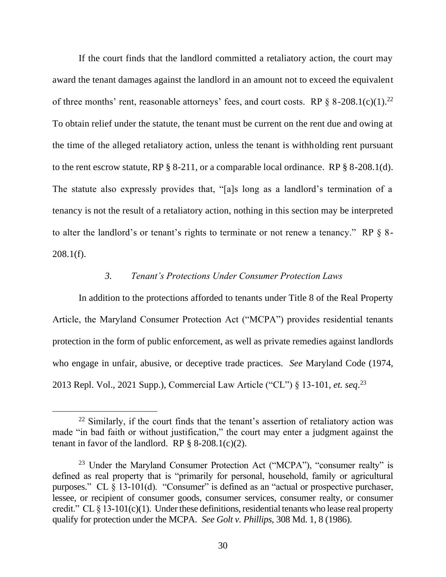If the court finds that the landlord committed a retaliatory action, the court may award the tenant damages against the landlord in an amount not to exceed the equivalent of three months' rent, reasonable attorneys' fees, and court costs. RP  $\S$  8-208.1(c)(1).<sup>22</sup> To obtain relief under the statute, the tenant must be current on the rent due and owing at the time of the alleged retaliatory action, unless the tenant is withholding rent pursuant to the rent escrow statute, RP § 8-211, or a comparable local ordinance. RP § 8-208.1(d). The statute also expressly provides that, "[a]s long as a landlord's termination of a tenancy is not the result of a retaliatory action, nothing in this section may be interpreted to alter the landlord's or tenant's rights to terminate or not renew a tenancy." RP § 8-  $208.1(f)$ .

# *3. Tenant's Protections Under Consumer Protection Laws*

In addition to the protections afforded to tenants under Title 8 of the Real Property Article, the Maryland Consumer Protection Act ("MCPA") provides residential tenants protection in the form of public enforcement, as well as private remedies against landlords who engage in unfair, abusive, or deceptive trade practices. *See* Maryland Code (1974, 2013 Repl. Vol., 2021 Supp.), Commercial Law Article ("CL") § 13-101, *et. seq*. 23

 $22$  Similarly, if the court finds that the tenant's assertion of retaliatory action was made "in bad faith or without justification," the court may enter a judgment against the tenant in favor of the landlord. RP  $\S$  8-208.1(c)(2).

<sup>&</sup>lt;sup>23</sup> Under the Maryland Consumer Protection Act ("MCPA"), "consumer realty" is defined as real property that is "primarily for personal, household, family or agricultural purposes." CL § 13-101(d). "Consumer" is defined as an "actual or prospective purchaser, lessee, or recipient of consumer goods, consumer services, consumer realty, or consumer credit." CL  $\S$  13-101(c)(1). Under these definitions, residential tenants who lease real property qualify for protection under the MCPA. *See Golt v. Phillips*, 308 Md. 1, 8 (1986).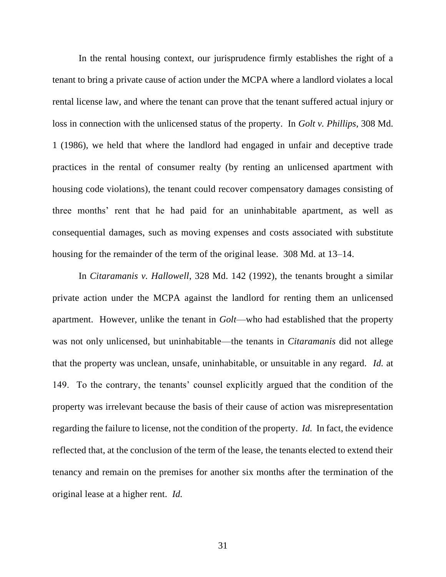In the rental housing context, our jurisprudence firmly establishes the right of a tenant to bring a private cause of action under the MCPA where a landlord violates a local rental license law, and where the tenant can prove that the tenant suffered actual injury or loss in connection with the unlicensed status of the property. In *Golt v. Phillips*, 308 Md. 1 (1986), we held that where the landlord had engaged in unfair and deceptive trade practices in the rental of consumer realty (by renting an unlicensed apartment with housing code violations), the tenant could recover compensatory damages consisting of three months' rent that he had paid for an uninhabitable apartment, as well as consequential damages, such as moving expenses and costs associated with substitute housing for the remainder of the term of the original lease. 308 Md. at 13–14.

In *Citaramanis v. Hallowell*, 328 Md. 142 (1992), the tenants brought a similar private action under the MCPA against the landlord for renting them an unlicensed apartment. However, unlike the tenant in *Golt*—who had established that the property was not only unlicensed, but uninhabitable—the tenants in *Citaramanis* did not allege that the property was unclean, unsafe, uninhabitable, or unsuitable in any regard. *Id.* at 149. To the contrary, the tenants' counsel explicitly argued that the condition of the property was irrelevant because the basis of their cause of action was misrepresentation regarding the failure to license, not the condition of the property. *Id.* In fact, the evidence reflected that, at the conclusion of the term of the lease, the tenants elected to extend their tenancy and remain on the premises for another six months after the termination of the original lease at a higher rent. *Id.*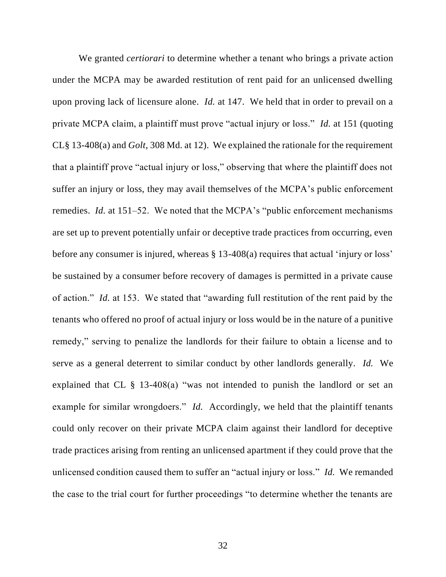We granted *certiorari* to determine whether a tenant who brings a private action under the MCPA may be awarded restitution of rent paid for an unlicensed dwelling upon proving lack of licensure alone*. Id.* at 147. We held that in order to prevail on a private MCPA claim, a plaintiff must prove "actual injury or loss." *Id.* at 151 (quoting CL§ 13-408(a) and *Golt*, 308 Md. at 12). We explained the rationale for the requirement that a plaintiff prove "actual injury or loss," observing that where the plaintiff does not suffer an injury or loss, they may avail themselves of the MCPA's public enforcement remedies. *Id.* at 151–52. We noted that the MCPA's "public enforcement mechanisms are set up to prevent potentially unfair or deceptive trade practices from occurring, even before any consumer is injured, whereas § 13-408(a) requires that actual 'injury or loss' be sustained by a consumer before recovery of damages is permitted in a private cause of action." *Id.* at 153. We stated that "awarding full restitution of the rent paid by the tenants who offered no proof of actual injury or loss would be in the nature of a punitive remedy," serving to penalize the landlords for their failure to obtain a license and to serve as a general deterrent to similar conduct by other landlords generally. *Id.* We explained that CL § 13-408(a) "was not intended to punish the landlord or set an example for similar wrongdoers." *Id.* Accordingly, we held that the plaintiff tenants could only recover on their private MCPA claim against their landlord for deceptive trade practices arising from renting an unlicensed apartment if they could prove that the unlicensed condition caused them to suffer an "actual injury or loss." *Id.* We remanded the case to the trial court for further proceedings "to determine whether the tenants are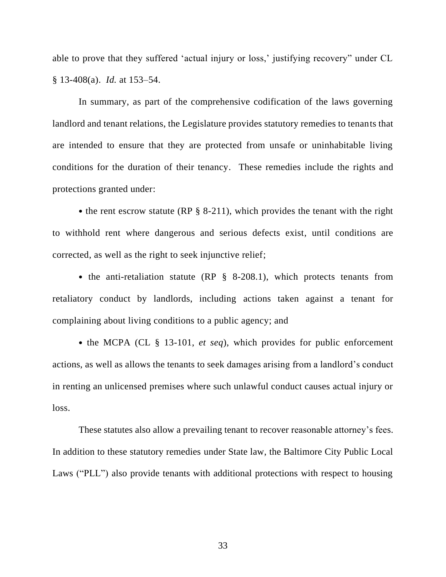able to prove that they suffered 'actual injury or loss,' justifying recovery" under CL § 13-408(a). *Id.* at 153–54.

In summary, as part of the comprehensive codification of the laws governing landlord and tenant relations, the Legislature provides statutory remedies to tenants that are intended to ensure that they are protected from unsafe or uninhabitable living conditions for the duration of their tenancy. These remedies include the rights and protections granted under:

• the rent escrow statute (RP § 8-211), which provides the tenant with the right to withhold rent where dangerous and serious defects exist, until conditions are corrected, as well as the right to seek injunctive relief;

• the anti-retaliation statute (RP § 8-208.1), which protects tenants from retaliatory conduct by landlords, including actions taken against a tenant for complaining about living conditions to a public agency; and

• the MCPA (CL § 13-101, *et seq*), which provides for public enforcement actions, as well as allows the tenants to seek damages arising from a landlord's conduct in renting an unlicensed premises where such unlawful conduct causes actual injury or loss.

These statutes also allow a prevailing tenant to recover reasonable attorney's fees. In addition to these statutory remedies under State law, the Baltimore City Public Local Laws ("PLL") also provide tenants with additional protections with respect to housing

33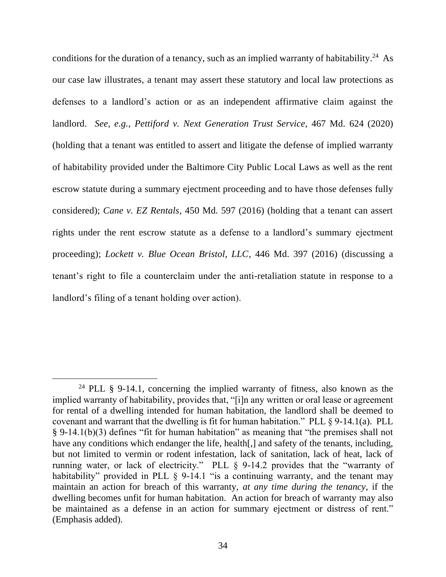conditions for the duration of a tenancy, such as an implied warranty of habitability.<sup>24</sup> As our case law illustrates, a tenant may assert these statutory and local law protections as defenses to a landlord's action or as an independent affirmative claim against the landlord. *See, e.g.*, *Pettiford v. Next Generation Trust Service*, 467 Md. 624 (2020) (holding that a tenant was entitled to assert and litigate the defense of implied warranty of habitability provided under the Baltimore City Public Local Laws as well as the rent escrow statute during a summary ejectment proceeding and to have those defenses fully considered); *Cane v. EZ Rentals*, 450 Md. 597 (2016) (holding that a tenant can assert rights under the rent escrow statute as a defense to a landlord's summary ejectment proceeding); *Lockett v. Blue Ocean Bristol, LLC*, 446 Md. 397 (2016) (discussing a tenant's right to file a counterclaim under the anti-retaliation statute in response to a landlord's filing of a tenant holding over action).

<sup>&</sup>lt;sup>24</sup> PLL § 9-14.1, concerning the implied warranty of fitness, also known as the implied warranty of habitability, provides that, "[i]n any written or oral lease or agreement for rental of a dwelling intended for human habitation, the landlord shall be deemed to covenant and warrant that the dwelling is fit for human habitation." PLL § 9-14.1(a). PLL § 9-14.1(b)(3) defines "fit for human habitation" as meaning that "the premises shall not have any conditions which endanger the life, health[,] and safety of the tenants, including, but not limited to vermin or rodent infestation, lack of sanitation, lack of heat, lack of running water, or lack of electricity." PLL § 9-14.2 provides that the "warranty of habitability" provided in PLL § 9-14.1 "is a continuing warranty, and the tenant may maintain an action for breach of this warranty, *at any time during the tenancy*, if the dwelling becomes unfit for human habitation. An action for breach of warranty may also be maintained as a defense in an action for summary ejectment or distress of rent." (Emphasis added).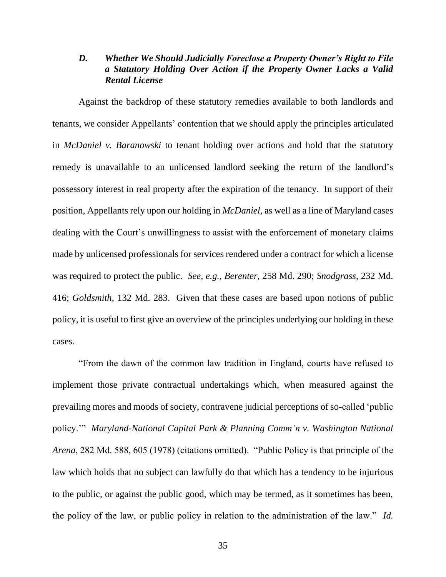## *D. Whether We Should Judicially Foreclose a Property Owner's Right to File a Statutory Holding Over Action if the Property Owner Lacks a Valid Rental License*

Against the backdrop of these statutory remedies available to both landlords and tenants, we consider Appellants' contention that we should apply the principles articulated in *McDaniel v. Baranowski* to tenant holding over actions and hold that the statutory remedy is unavailable to an unlicensed landlord seeking the return of the landlord's possessory interest in real property after the expiration of the tenancy. In support of their position, Appellants rely upon our holding in *McDaniel*, as well as a line of Maryland cases dealing with the Court's unwillingness to assist with the enforcement of monetary claims made by unlicensed professionals for services rendered under a contract for which a license was required to protect the public. *See, e.g.*, *Berenter*, 258 Md. 290; *Snodgrass*, 232 Md. 416; *Goldsmith*, 132 Md. 283. Given that these cases are based upon notions of public policy, it is useful to first give an overview of the principles underlying our holding in these cases.

"From the dawn of the common law tradition in England, courts have refused to implement those private contractual undertakings which, when measured against the prevailing mores and moods of society, contravene judicial perceptions of so-called 'public policy.'" *Maryland-National Capital Park & Planning Comm'n v. Washington National Arena*, 282 Md. 588, 605 (1978) (citations omitted). "Public Policy is that principle of the law which holds that no subject can lawfully do that which has a tendency to be injurious to the public, or against the public good, which may be termed, as it sometimes has been, the policy of the law, or public policy in relation to the administration of the law." *Id.*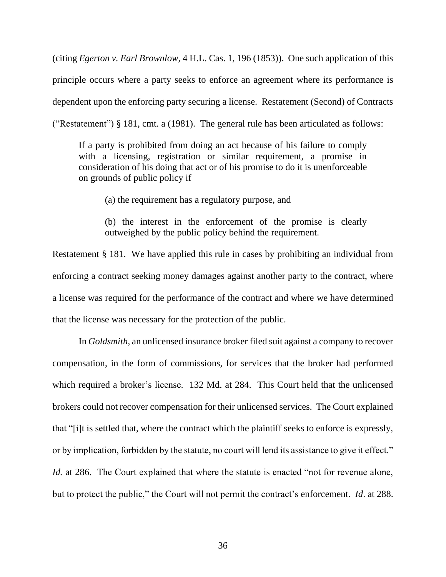(citing *Egerton v. Earl Brownlow*, 4 H.L. Cas. 1, 196 (1853)). One such application of this principle occurs where a party seeks to enforce an agreement where its performance is dependent upon the enforcing party securing a license. Restatement (Second) of Contracts ("Restatement") § 181, cmt. a (1981). The general rule has been articulated as follows:

If a party is prohibited from doing an act because of his failure to comply with a licensing, registration or similar requirement, a promise in consideration of his doing that act or of his promise to do it is unenforceable on grounds of public policy if

(a) the requirement has a regulatory purpose, and

(b) the interest in the enforcement of the promise is clearly outweighed by the public policy behind the requirement.

Restatement § 181. We have applied this rule in cases by prohibiting an individual from enforcing a contract seeking money damages against another party to the contract, where a license was required for the performance of the contract and where we have determined that the license was necessary for the protection of the public.

In *Goldsmith*, an unlicensed insurance broker filed suit against a company to recover compensation, in the form of commissions, for services that the broker had performed which required a broker's license. 132 Md. at 284. This Court held that the unlicensed brokers could not recover compensation for their unlicensed services. The Court explained that "[i]t is settled that, where the contract which the plaintiff seeks to enforce is expressly, or by implication, forbidden by the statute, no court will lend its assistance to give it effect." *Id.* at 286. The Court explained that where the statute is enacted "not for revenue alone, but to protect the public," the Court will not permit the contract's enforcement. *Id*. at 288.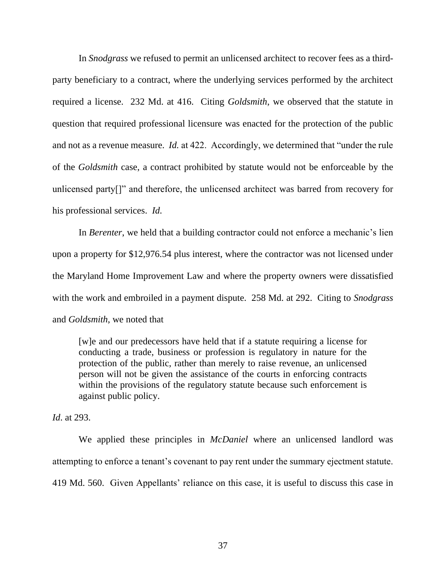In *Snodgrass* we refused to permit an unlicensed architect to recover fees as a thirdparty beneficiary to a contract, where the underlying services performed by the architect required a license. 232 Md. at 416. Citing *Goldsmith*, we observed that the statute in question that required professional licensure was enacted for the protection of the public and not as a revenue measure. *Id.* at 422. Accordingly, we determined that "under the rule of the *Goldsmith* case, a contract prohibited by statute would not be enforceable by the unlicensed party[]" and therefore, the unlicensed architect was barred from recovery for his professional services. *Id.*

In *Berenter*, we held that a building contractor could not enforce a mechanic's lien upon a property for \$12,976.54 plus interest, where the contractor was not licensed under the Maryland Home Improvement Law and where the property owners were dissatisfied with the work and embroiled in a payment dispute. 258 Md. at 292. Citing to *Snodgrass*  and *Goldsmith*, we noted that

[w]e and our predecessors have held that if a statute requiring a license for conducting a trade, business or profession is regulatory in nature for the protection of the public, rather than merely to raise revenue, an unlicensed person will not be given the assistance of the courts in enforcing contracts within the provisions of the regulatory statute because such enforcement is against public policy.

*Id*. at 293.

We applied these principles in *McDaniel* where an unlicensed landlord was attempting to enforce a tenant's covenant to pay rent under the summary ejectment statute. 419 Md. 560. Given Appellants' reliance on this case, it is useful to discuss this case in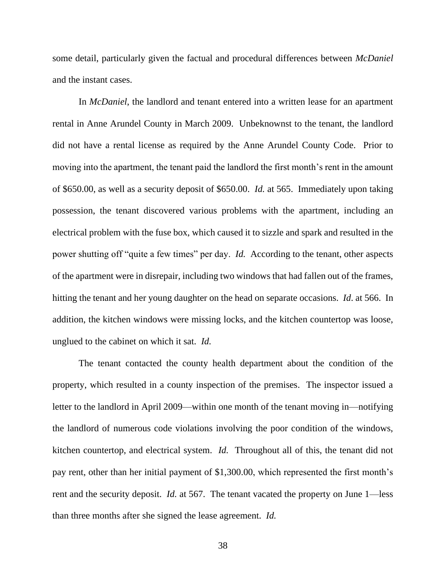some detail, particularly given the factual and procedural differences between *McDaniel*  and the instant cases.

In *McDaniel*, the landlord and tenant entered into a written lease for an apartment rental in Anne Arundel County in March 2009. Unbeknownst to the tenant, the landlord did not have a rental license as required by the Anne Arundel County Code. Prior to moving into the apartment, the tenant paid the landlord the first month's rent in the amount of \$650.00, as well as a security deposit of \$650.00. *Id.* at 565. Immediately upon taking possession, the tenant discovered various problems with the apartment, including an electrical problem with the fuse box, which caused it to sizzle and spark and resulted in the power shutting off "quite a few times" per day. *Id.* According to the tenant, other aspects of the apartment were in disrepair, including two windows that had fallen out of the frames, hitting the tenant and her young daughter on the head on separate occasions. *Id*. at 566. In addition, the kitchen windows were missing locks, and the kitchen countertop was loose, unglued to the cabinet on which it sat. *Id.*

The tenant contacted the county health department about the condition of the property, which resulted in a county inspection of the premises. The inspector issued a letter to the landlord in April 2009—within one month of the tenant moving in—notifying the landlord of numerous code violations involving the poor condition of the windows, kitchen countertop, and electrical system. *Id.* Throughout all of this, the tenant did not pay rent, other than her initial payment of \$1,300.00, which represented the first month's rent and the security deposit. *Id.* at 567. The tenant vacated the property on June 1—less than three months after she signed the lease agreement. *Id.*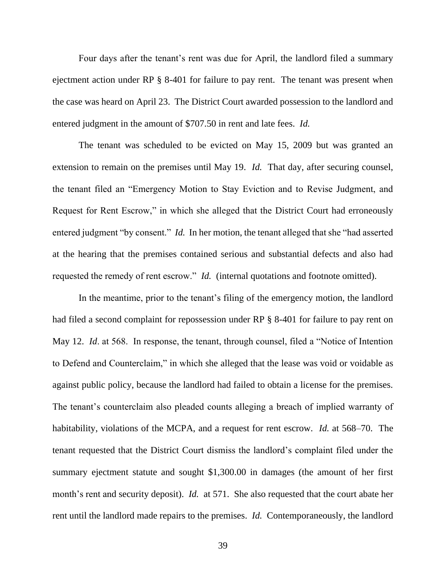Four days after the tenant's rent was due for April, the landlord filed a summary ejectment action under RP § 8-401 for failure to pay rent. The tenant was present when the case was heard on April 23. The District Court awarded possession to the landlord and entered judgment in the amount of \$707.50 in rent and late fees. *Id.* 

The tenant was scheduled to be evicted on May 15, 2009 but was granted an extension to remain on the premises until May 19. *Id.* That day, after securing counsel, the tenant filed an "Emergency Motion to Stay Eviction and to Revise Judgment, and Request for Rent Escrow," in which she alleged that the District Court had erroneously entered judgment "by consent." *Id.* In her motion, the tenant alleged that she "had asserted at the hearing that the premises contained serious and substantial defects and also had requested the remedy of rent escrow." *Id.* (internal quotations and footnote omitted).

In the meantime, prior to the tenant's filing of the emergency motion, the landlord had filed a second complaint for repossession under RP § 8-401 for failure to pay rent on May 12. *Id*. at 568. In response, the tenant, through counsel, filed a "Notice of Intention to Defend and Counterclaim," in which she alleged that the lease was void or voidable as against public policy, because the landlord had failed to obtain a license for the premises. The tenant's counterclaim also pleaded counts alleging a breach of implied warranty of habitability, violations of the MCPA, and a request for rent escrow. *Id.* at 568–70. The tenant requested that the District Court dismiss the landlord's complaint filed under the summary ejectment statute and sought \$1,300.00 in damages (the amount of her first month's rent and security deposit). *Id.* at 571. She also requested that the court abate her rent until the landlord made repairs to the premises. *Id.* Contemporaneously, the landlord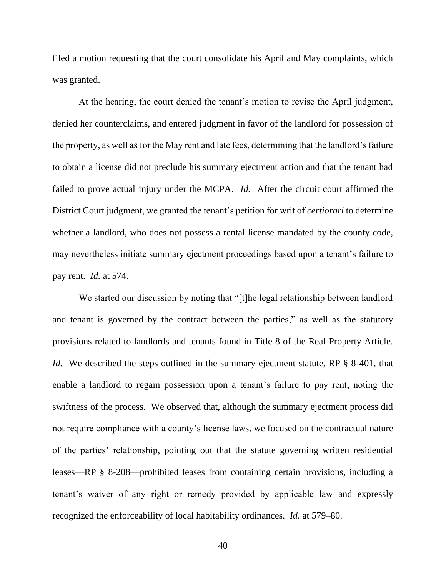filed a motion requesting that the court consolidate his April and May complaints, which was granted.

At the hearing, the court denied the tenant's motion to revise the April judgment, denied her counterclaims, and entered judgment in favor of the landlord for possession of the property, as well as for the May rent and late fees, determining that the landlord's failure to obtain a license did not preclude his summary ejectment action and that the tenant had failed to prove actual injury under the MCPA. *Id.* After the circuit court affirmed the District Court judgment, we granted the tenant's petition for writ of *certiorari* to determine whether a landlord, who does not possess a rental license mandated by the county code, may nevertheless initiate summary ejectment proceedings based upon a tenant's failure to pay rent. *Id.* at 574.

We started our discussion by noting that "[t]he legal relationship between landlord and tenant is governed by the contract between the parties," as well as the statutory provisions related to landlords and tenants found in Title 8 of the Real Property Article. *Id.* We described the steps outlined in the summary ejectment statute, RP § 8-401, that enable a landlord to regain possession upon a tenant's failure to pay rent, noting the swiftness of the process. We observed that, although the summary ejectment process did not require compliance with a county's license laws, we focused on the contractual nature of the parties' relationship, pointing out that the statute governing written residential leases—RP § 8-208—prohibited leases from containing certain provisions, including a tenant's waiver of any right or remedy provided by applicable law and expressly recognized the enforceability of local habitability ordinances. *Id.* at 579–80.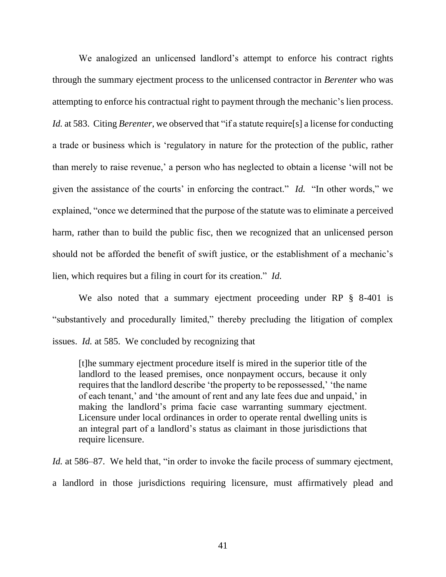We analogized an unlicensed landlord's attempt to enforce his contract rights through the summary ejectment process to the unlicensed contractor in *Berenter* who was attempting to enforce his contractual right to payment through the mechanic's lien process. *Id.* at 583. Citing *Berenter*, we observed that "if a statute require[s] a license for conducting a trade or business which is 'regulatory in nature for the protection of the public, rather than merely to raise revenue,' a person who has neglected to obtain a license 'will not be given the assistance of the courts' in enforcing the contract." *Id.* "In other words," we explained, "once we determined that the purpose of the statute was to eliminate a perceived harm, rather than to build the public fisc, then we recognized that an unlicensed person should not be afforded the benefit of swift justice, or the establishment of a mechanic's lien, which requires but a filing in court for its creation." *Id.*

We also noted that a summary ejectment proceeding under RP § 8-401 is "substantively and procedurally limited," thereby precluding the litigation of complex issues. *Id.* at 585. We concluded by recognizing that

[t]he summary ejectment procedure itself is mired in the superior title of the landlord to the leased premises, once nonpayment occurs, because it only requires that the landlord describe 'the property to be repossessed,' 'the name of each tenant,' and 'the amount of rent and any late fees due and unpaid,' in making the landlord's prima facie case warranting summary ejectment. Licensure under local ordinances in order to operate rental dwelling units is an integral part of a landlord's status as claimant in those jurisdictions that require licensure.

*Id.* at 586–87. We held that, "in order to invoke the facile process of summary ejectment, a landlord in those jurisdictions requiring licensure, must affirmatively plead and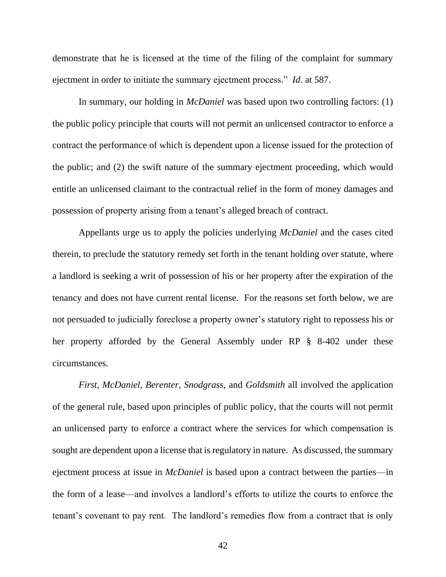demonstrate that he is licensed at the time of the filing of the complaint for summary ejectment in order to initiate the summary ejectment process." *Id*. at 587.

In summary, our holding in *McDaniel* was based upon two controlling factors: (1) the public policy principle that courts will not permit an unlicensed contractor to enforce a contract the performance of which is dependent upon a license issued for the protection of the public; and (2) the swift nature of the summary ejectment proceeding, which would entitle an unlicensed claimant to the contractual relief in the form of money damages and possession of property arising from a tenant's alleged breach of contract.

Appellants urge us to apply the policies underlying *McDaniel* and the cases cited therein, to preclude the statutory remedy set forth in the tenant holding over statute, where a landlord is seeking a writ of possession of his or her property after the expiration of the tenancy and does not have current rental license. For the reasons set forth below, we are not persuaded to judicially foreclose a property owner's statutory right to repossess his or her property afforded by the General Assembly under RP § 8-402 under these circumstances.

*First*, *McDaniel*, *Berenter*, *Snodgrass*, and *Goldsmith* all involved the application of the general rule, based upon principles of public policy, that the courts will not permit an unlicensed party to enforce a contract where the services for which compensation is sought are dependent upon a license that is regulatory in nature. As discussed, the summary ejectment process at issue in *McDaniel* is based upon a contract between the parties—in the form of a lease—and involves a landlord's efforts to utilize the courts to enforce the tenant's covenant to pay rent. The landlord's remedies flow from a contract that is only

42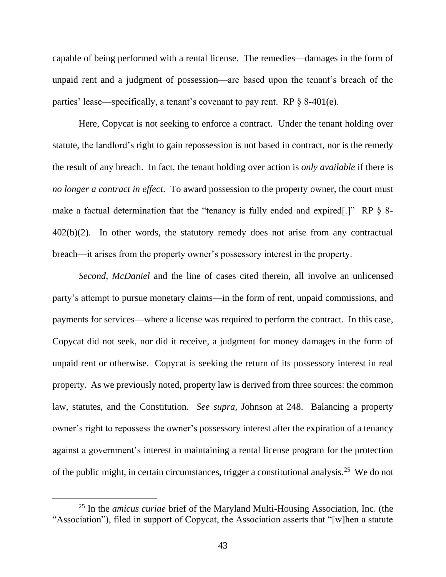capable of being performed with a rental license. The remedies—damages in the form of unpaid rent and a judgment of possession—are based upon the tenant's breach of the parties' lease—specifically, a tenant's covenant to pay rent. RP § 8-401(e).

Here, Copycat is not seeking to enforce a contract. Under the tenant holding over statute, the landlord's right to gain repossession is not based in contract, nor is the remedy the result of any breach. In fact, the tenant holding over action is *only available* if there is *no longer a contract in effect*. To award possession to the property owner, the court must make a factual determination that the "tenancy is fully ended and expired[.]" RP § 8- 402(b)(2). In other words, the statutory remedy does not arise from any contractual breach—it arises from the property owner's possessory interest in the property.

*Second*, *McDaniel* and the line of cases cited therein, all involve an unlicensed party's attempt to pursue monetary claims—in the form of rent, unpaid commissions, and payments for services—where a license was required to perform the contract. In this case, Copycat did not seek, nor did it receive, a judgment for money damages in the form of unpaid rent or otherwise. Copycat is seeking the return of its possessory interest in real property. As we previously noted, property law is derived from three sources: the common law, statutes, and the Constitution. *See supra*, Johnson at 248. Balancing a property owner's right to repossess the owner's possessory interest after the expiration of a tenancy against a government's interest in maintaining a rental license program for the protection of the public might, in certain circumstances, trigger a constitutional analysis.<sup>25</sup> We do not

<sup>25</sup> In the *amicus curiae* brief of the Maryland Multi-Housing Association, Inc. (the "Association"), filed in support of Copycat, the Association asserts that "[w]hen a statute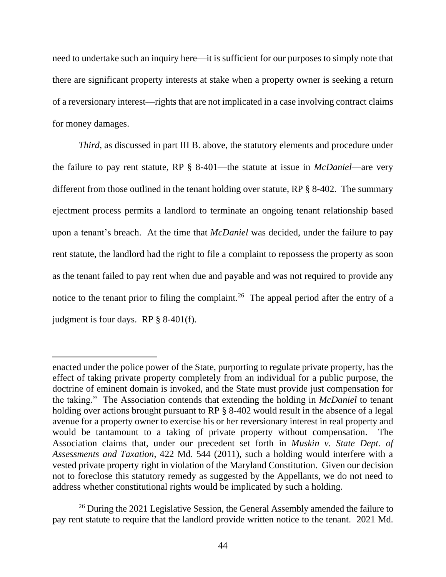need to undertake such an inquiry here—it is sufficient for our purposes to simply note that there are significant property interests at stake when a property owner is seeking a return of a reversionary interest—rights that are not implicated in a case involving contract claims for money damages.

*Third*, as discussed in part III B. above, the statutory elements and procedure under the failure to pay rent statute, RP § 8-401—the statute at issue in *McDaniel*—are very different from those outlined in the tenant holding over statute, RP § 8-402. The summary ejectment process permits a landlord to terminate an ongoing tenant relationship based upon a tenant's breach. At the time that *McDaniel* was decided, under the failure to pay rent statute, the landlord had the right to file a complaint to repossess the property as soon as the tenant failed to pay rent when due and payable and was not required to provide any notice to the tenant prior to filing the complaint.<sup>26</sup> The appeal period after the entry of a judgment is four days. RP § 8-401(f).

enacted under the police power of the State, purporting to regulate private property, has the effect of taking private property completely from an individual for a public purpose, the doctrine of eminent domain is invoked, and the State must provide just compensation for the taking." The Association contends that extending the holding in *McDaniel* to tenant holding over actions brought pursuant to RP § 8-402 would result in the absence of a legal avenue for a property owner to exercise his or her reversionary interest in real property and would be tantamount to a taking of private property without compensation. The Association claims that, under our precedent set forth in *Muskin v. State Dept. of Assessments and Taxation*, 422 Md. 544 (2011), such a holding would interfere with a vested private property right in violation of the Maryland Constitution. Given our decision not to foreclose this statutory remedy as suggested by the Appellants, we do not need to address whether constitutional rights would be implicated by such a holding.

<sup>&</sup>lt;sup>26</sup> During the 2021 Legislative Session, the General Assembly amended the failure to pay rent statute to require that the landlord provide written notice to the tenant. 2021 Md.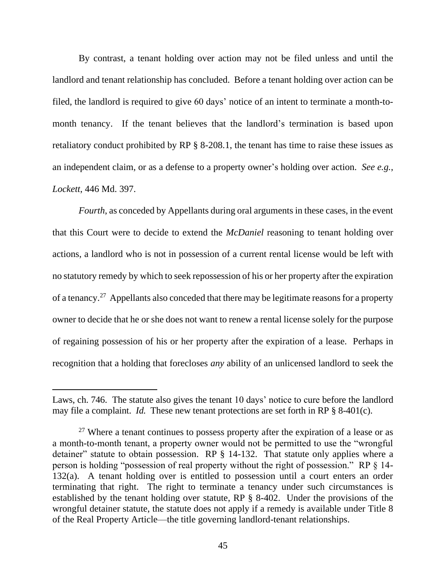By contrast, a tenant holding over action may not be filed unless and until the landlord and tenant relationship has concluded. Before a tenant holding over action can be filed, the landlord is required to give 60 days' notice of an intent to terminate a month-tomonth tenancy. If the tenant believes that the landlord's termination is based upon retaliatory conduct prohibited by RP § 8-208.1, the tenant has time to raise these issues as an independent claim, or as a defense to a property owner's holding over action. *See e.g.*, *Lockett*, 446 Md. 397.

*Fourth*, as conceded by Appellants during oral arguments in these cases, in the event that this Court were to decide to extend the *McDaniel* reasoning to tenant holding over actions, a landlord who is not in possession of a current rental license would be left with no statutory remedy by which to seek repossession of his or her property after the expiration of a tenancy.<sup>27</sup> Appellants also conceded that there may be legitimate reasons for a property owner to decide that he or she does not want to renew a rental license solely for the purpose of regaining possession of his or her property after the expiration of a lease. Perhaps in recognition that a holding that forecloses *any* ability of an unlicensed landlord to seek the

Laws, ch. 746. The statute also gives the tenant 10 days' notice to cure before the landlord may file a complaint. *Id.* These new tenant protections are set forth in RP § 8-401(c).

 $27$  Where a tenant continues to possess property after the expiration of a lease or as a month-to-month tenant, a property owner would not be permitted to use the "wrongful detainer" statute to obtain possession. RP § 14-132. That statute only applies where a person is holding "possession of real property without the right of possession." RP § 14- 132(a). A tenant holding over is entitled to possession until a court enters an order terminating that right. The right to terminate a tenancy under such circumstances is established by the tenant holding over statute, RP § 8-402. Under the provisions of the wrongful detainer statute, the statute does not apply if a remedy is available under Title 8 of the Real Property Article—the title governing landlord-tenant relationships.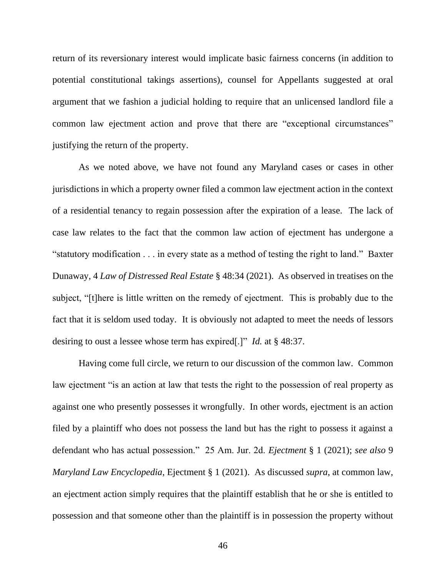return of its reversionary interest would implicate basic fairness concerns (in addition to potential constitutional takings assertions), counsel for Appellants suggested at oral argument that we fashion a judicial holding to require that an unlicensed landlord file a common law ejectment action and prove that there are "exceptional circumstances" justifying the return of the property.

As we noted above, we have not found any Maryland cases or cases in other jurisdictions in which a property owner filed a common law ejectment action in the context of a residential tenancy to regain possession after the expiration of a lease. The lack of case law relates to the fact that the common law action of ejectment has undergone a "statutory modification . . . in every state as a method of testing the right to land." Baxter Dunaway, 4 *Law of Distressed Real Estate* § 48:34 (2021). As observed in treatises on the subject, "[t]here is little written on the remedy of ejectment. This is probably due to the fact that it is seldom used today. It is obviously not adapted to meet the needs of lessors desiring to oust a lessee whose term has expired[.]" *Id.* at § 48:37.

Having come full circle, we return to our discussion of the common law. Common law ejectment "is an action at law that tests the right to the possession of real property as against one who presently possesses it wrongfully. In other words, ejectment is an action filed by a plaintiff who does not possess the land but has the right to possess it against a defendant who has actual possession." 25 Am. Jur. 2d. *Ejectment* § 1 (2021); *see also* 9 *Maryland Law Encyclopedia*, Ejectment § 1 (2021). As discussed *supra*, at common law, an ejectment action simply requires that the plaintiff establish that he or she is entitled to possession and that someone other than the plaintiff is in possession the property without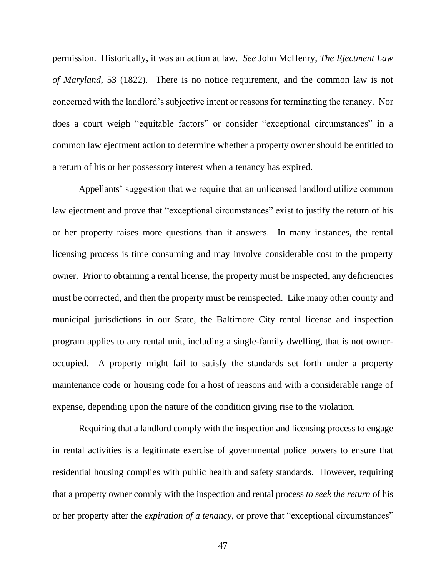permission. Historically, it was an action at law. *See* John McHenry, *The Ejectment Law of Maryland*, 53 (1822). There is no notice requirement, and the common law is not concerned with the landlord's subjective intent or reasons for terminating the tenancy. Nor does a court weigh "equitable factors" or consider "exceptional circumstances" in a common law ejectment action to determine whether a property owner should be entitled to a return of his or her possessory interest when a tenancy has expired.

Appellants' suggestion that we require that an unlicensed landlord utilize common law ejectment and prove that "exceptional circumstances" exist to justify the return of his or her property raises more questions than it answers. In many instances, the rental licensing process is time consuming and may involve considerable cost to the property owner. Prior to obtaining a rental license, the property must be inspected, any deficiencies must be corrected, and then the property must be reinspected. Like many other county and municipal jurisdictions in our State, the Baltimore City rental license and inspection program applies to any rental unit, including a single-family dwelling, that is not owneroccupied. A property might fail to satisfy the standards set forth under a property maintenance code or housing code for a host of reasons and with a considerable range of expense, depending upon the nature of the condition giving rise to the violation.

Requiring that a landlord comply with the inspection and licensing process to engage in rental activities is a legitimate exercise of governmental police powers to ensure that residential housing complies with public health and safety standards. However, requiring that a property owner comply with the inspection and rental process *to seek the return* of his or her property after the *expiration of a tenancy*, or prove that "exceptional circumstances"

47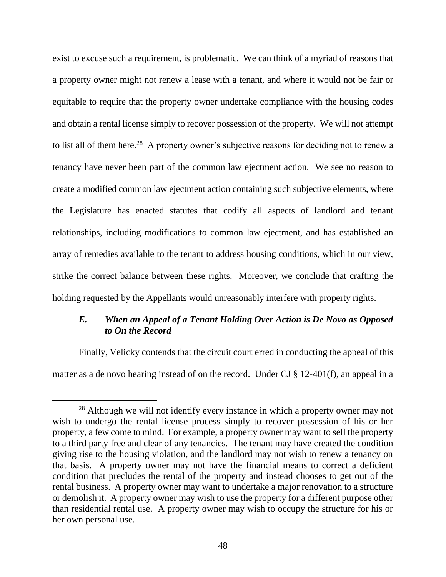exist to excuse such a requirement, is problematic. We can think of a myriad of reasons that a property owner might not renew a lease with a tenant, and where it would not be fair or equitable to require that the property owner undertake compliance with the housing codes and obtain a rental license simply to recover possession of the property. We will not attempt to list all of them here.<sup>28</sup> A property owner's subjective reasons for deciding not to renew a tenancy have never been part of the common law ejectment action. We see no reason to create a modified common law ejectment action containing such subjective elements, where the Legislature has enacted statutes that codify all aspects of landlord and tenant relationships, including modifications to common law ejectment, and has established an array of remedies available to the tenant to address housing conditions, which in our view, strike the correct balance between these rights. Moreover, we conclude that crafting the holding requested by the Appellants would unreasonably interfere with property rights.

## *E. When an Appeal of a Tenant Holding Over Action is De Novo as Opposed to On the Record*

Finally, Velicky contends that the circuit court erred in conducting the appeal of this matter as a de novo hearing instead of on the record. Under CJ § 12-401(f), an appeal in a

<sup>&</sup>lt;sup>28</sup> Although we will not identify every instance in which a property owner may not wish to undergo the rental license process simply to recover possession of his or her property, a few come to mind. For example, a property owner may want to sell the property to a third party free and clear of any tenancies. The tenant may have created the condition giving rise to the housing violation, and the landlord may not wish to renew a tenancy on that basis. A property owner may not have the financial means to correct a deficient condition that precludes the rental of the property and instead chooses to get out of the rental business. A property owner may want to undertake a major renovation to a structure or demolish it. A property owner may wish to use the property for a different purpose other than residential rental use. A property owner may wish to occupy the structure for his or her own personal use.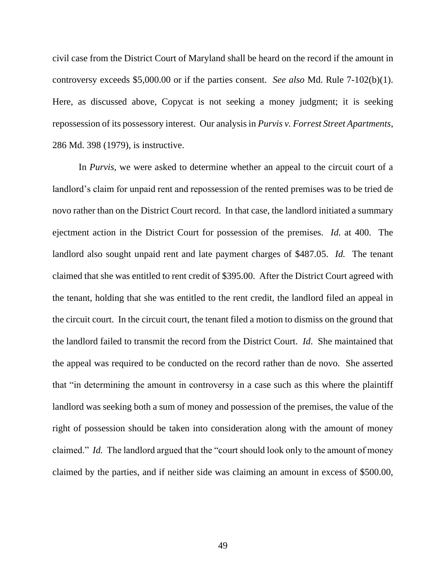civil case from the District Court of Maryland shall be heard on the record if the amount in controversy exceeds \$5,000.00 or if the parties consent. *See also* Md. Rule 7-102(b)(1). Here, as discussed above, Copycat is not seeking a money judgment; it is seeking repossession of its possessory interest. Our analysis in *Purvis v. Forrest Street Apartments*, 286 Md. 398 (1979), is instructive.

In *Purvis*, we were asked to determine whether an appeal to the circuit court of a landlord's claim for unpaid rent and repossession of the rented premises was to be tried de novo rather than on the District Court record. In that case, the landlord initiated a summary ejectment action in the District Court for possession of the premises. *Id.* at 400. The landlord also sought unpaid rent and late payment charges of \$487.05. *Id.* The tenant claimed that she was entitled to rent credit of \$395.00. After the District Court agreed with the tenant, holding that she was entitled to the rent credit, the landlord filed an appeal in the circuit court. In the circuit court, the tenant filed a motion to dismiss on the ground that the landlord failed to transmit the record from the District Court. *Id*. She maintained that the appeal was required to be conducted on the record rather than de novo. She asserted that "in determining the amount in controversy in a case such as this where the plaintiff landlord was seeking both a sum of money and possession of the premises, the value of the right of possession should be taken into consideration along with the amount of money claimed." *Id.* The landlord argued that the "court should look only to the amount of money claimed by the parties, and if neither side was claiming an amount in excess of \$500.00,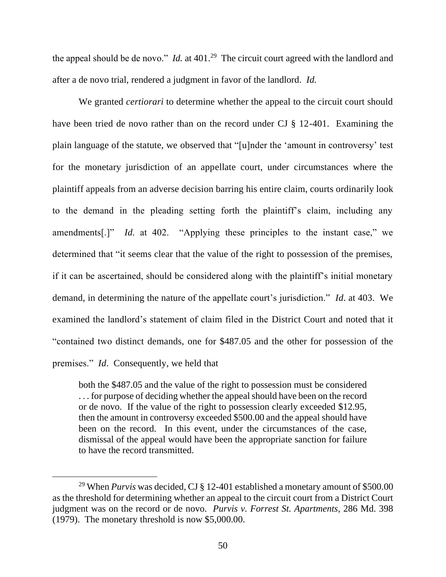the appeal should be de novo." *Id.* at 401.<sup>29</sup> The circuit court agreed with the landlord and after a de novo trial, rendered a judgment in favor of the landlord. *Id.*

We granted *certiorari* to determine whether the appeal to the circuit court should have been tried de novo rather than on the record under CJ § 12-401. Examining the plain language of the statute, we observed that "[u]nder the 'amount in controversy' test for the monetary jurisdiction of an appellate court, under circumstances where the plaintiff appeals from an adverse decision barring his entire claim, courts ordinarily look to the demand in the pleading setting forth the plaintiff's claim, including any amendments[.]" *Id.* at 402. "Applying these principles to the instant case," we determined that "it seems clear that the value of the right to possession of the premises, if it can be ascertained, should be considered along with the plaintiff's initial monetary demand, in determining the nature of the appellate court's jurisdiction." *Id*. at 403. We examined the landlord's statement of claim filed in the District Court and noted that it "contained two distinct demands, one for \$487.05 and the other for possession of the premises." *Id*. Consequently, we held that

both the \$487.05 and the value of the right to possession must be considered . . . for purpose of deciding whether the appeal should have been on the record or de novo. If the value of the right to possession clearly exceeded \$12.95, then the amount in controversy exceeded \$500.00 and the appeal should have been on the record. In this event, under the circumstances of the case, dismissal of the appeal would have been the appropriate sanction for failure to have the record transmitted.

<sup>29</sup> When *Purvis* was decided, CJ § 12-401 established a monetary amount of \$500.00 as the threshold for determining whether an appeal to the circuit court from a District Court judgment was on the record or de novo. *Purvis v. Forrest St. Apartments*, 286 Md. 398 (1979). The monetary threshold is now \$5,000.00.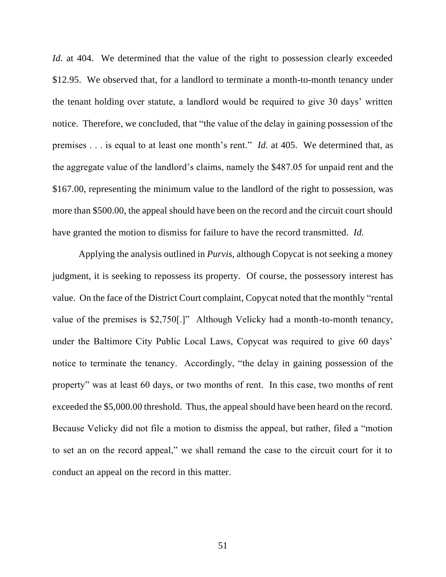*Id.* at 404. We determined that the value of the right to possession clearly exceeded \$12.95. We observed that, for a landlord to terminate a month-to-month tenancy under the tenant holding over statute, a landlord would be required to give 30 days' written notice. Therefore, we concluded, that "the value of the delay in gaining possession of the premises . . . is equal to at least one month's rent." *Id.* at 405. We determined that, as the aggregate value of the landlord's claims, namely the \$487.05 for unpaid rent and the \$167.00, representing the minimum value to the landlord of the right to possession, was more than \$500.00, the appeal should have been on the record and the circuit court should have granted the motion to dismiss for failure to have the record transmitted. *Id.*

Applying the analysis outlined in *Purvis*, although Copycat is not seeking a money judgment, it is seeking to repossess its property. Of course, the possessory interest has value. On the face of the District Court complaint, Copycat noted that the monthly "rental value of the premises is \$2,750[.]" Although Velicky had a month-to-month tenancy, under the Baltimore City Public Local Laws, Copycat was required to give 60 days' notice to terminate the tenancy. Accordingly, "the delay in gaining possession of the property" was at least 60 days, or two months of rent. In this case, two months of rent exceeded the \$5,000.00 threshold. Thus, the appeal should have been heard on the record. Because Velicky did not file a motion to dismiss the appeal, but rather, filed a "motion to set an on the record appeal," we shall remand the case to the circuit court for it to conduct an appeal on the record in this matter.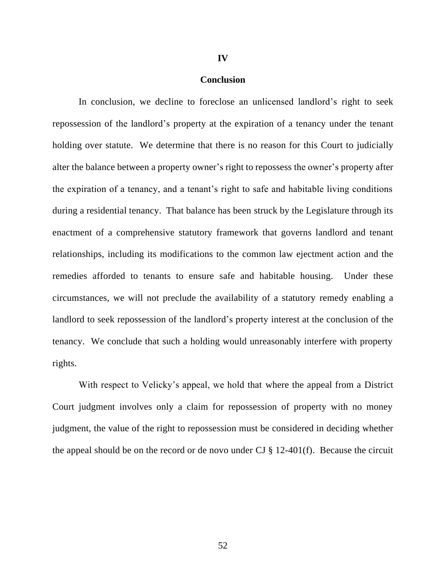# **IV**

#### **Conclusion**

In conclusion, we decline to foreclose an unlicensed landlord's right to seek repossession of the landlord's property at the expiration of a tenancy under the tenant holding over statute. We determine that there is no reason for this Court to judicially alter the balance between a property owner's right to repossess the owner's property after the expiration of a tenancy, and a tenant's right to safe and habitable living conditions during a residential tenancy. That balance has been struck by the Legislature through its enactment of a comprehensive statutory framework that governs landlord and tenant relationships, including its modifications to the common law ejectment action and the remedies afforded to tenants to ensure safe and habitable housing. Under these circumstances, we will not preclude the availability of a statutory remedy enabling a landlord to seek repossession of the landlord's property interest at the conclusion of the tenancy. We conclude that such a holding would unreasonably interfere with property rights.

With respect to Velicky's appeal, we hold that where the appeal from a District Court judgment involves only a claim for repossession of property with no money judgment, the value of the right to repossession must be considered in deciding whether the appeal should be on the record or de novo under CJ  $\S$  12-401(f). Because the circuit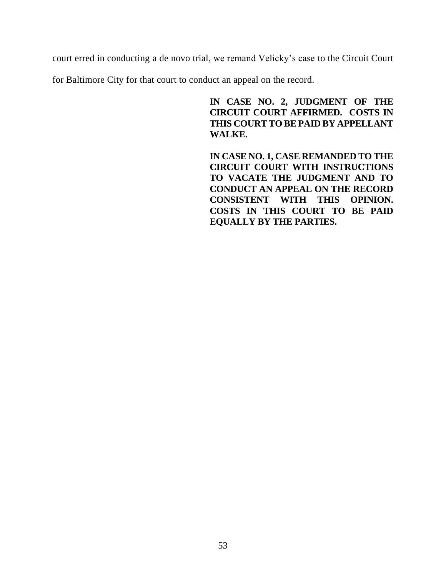court erred in conducting a de novo trial, we remand Velicky's case to the Circuit Court

for Baltimore City for that court to conduct an appeal on the record.

**IN CASE NO. 2, JUDGMENT OF THE CIRCUIT COURT AFFIRMED. COSTS IN THIS COURT TO BE PAID BY APPELLANT WALKE.** 

**IN CASE NO. 1, CASE REMANDED TO THE CIRCUIT COURT WITH INSTRUCTIONS TO VACATE THE JUDGMENT AND TO CONDUCT AN APPEAL ON THE RECORD CONSISTENT WITH THIS OPINION. COSTS IN THIS COURT TO BE PAID EQUALLY BY THE PARTIES.**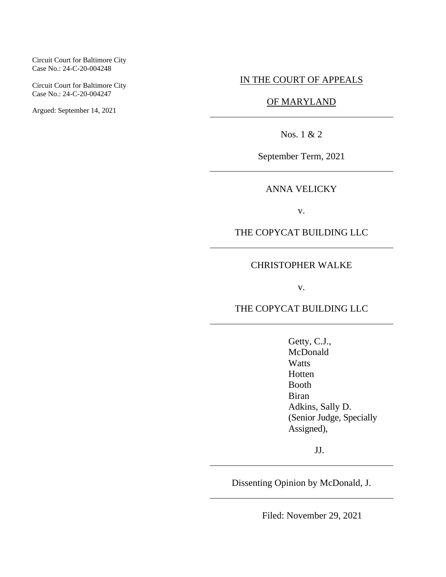#### Circuit Court for Baltimore City Case No.: 24-C-20-004248

Circuit Court for Baltimore City Case No.: 24-C-20-004247

Argued: September 14, 2021

### IN THE COURT OF APPEALS

## OF MARYLAND

Nos. 1 & 2

September Term, 2021

ANNA VELICKY

v.

THE COPYCAT BUILDING LLC

#### CHRISTOPHER WALKE

v.

THE COPYCAT BUILDING LLC

Getty, C.J., McDonald **Watts** Hotten Booth Biran Adkins, Sally D. (Senior Judge, Specially Assigned),

JJ.

Dissenting Opinion by McDonald, J.

Filed: November 29, 2021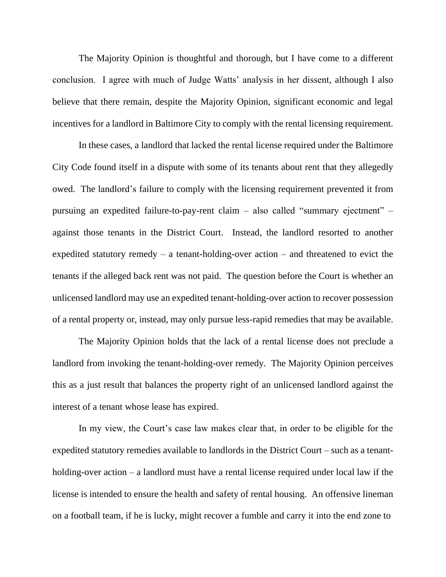The Majority Opinion is thoughtful and thorough, but I have come to a different conclusion. I agree with much of Judge Watts' analysis in her dissent, although I also believe that there remain, despite the Majority Opinion, significant economic and legal incentives for a landlord in Baltimore City to comply with the rental licensing requirement.

In these cases, a landlord that lacked the rental license required under the Baltimore City Code found itself in a dispute with some of its tenants about rent that they allegedly owed. The landlord's failure to comply with the licensing requirement prevented it from pursuing an expedited failure-to-pay-rent claim – also called "summary ejectment" – against those tenants in the District Court. Instead, the landlord resorted to another expedited statutory remedy – a tenant-holding-over action – and threatened to evict the tenants if the alleged back rent was not paid. The question before the Court is whether an unlicensed landlord may use an expedited tenant-holding-over action to recover possession of a rental property or, instead, may only pursue less-rapid remedies that may be available.

The Majority Opinion holds that the lack of a rental license does not preclude a landlord from invoking the tenant-holding-over remedy. The Majority Opinion perceives this as a just result that balances the property right of an unlicensed landlord against the interest of a tenant whose lease has expired.

In my view, the Court's case law makes clear that, in order to be eligible for the expedited statutory remedies available to landlords in the District Court – such as a tenantholding-over action – a landlord must have a rental license required under local law if the license is intended to ensure the health and safety of rental housing. An offensive lineman on a football team, if he is lucky, might recover a fumble and carry it into the end zone to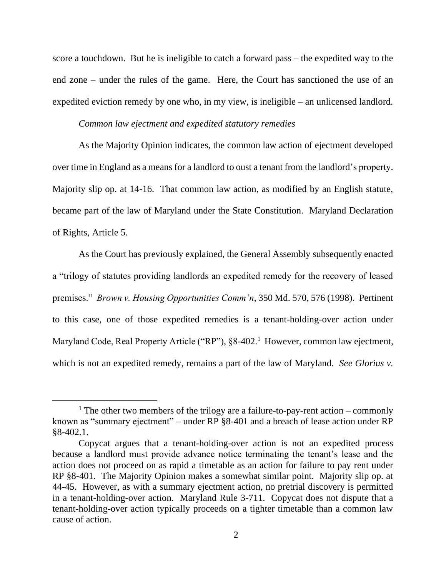score a touchdown. But he is ineligible to catch a forward pass – the expedited way to the end zone – under the rules of the game. Here, the Court has sanctioned the use of an expedited eviction remedy by one who, in my view, is ineligible – an unlicensed landlord.

#### *Common law ejectment and expedited statutory remedies*

As the Majority Opinion indicates, the common law action of ejectment developed over time in England as a means for a landlord to oust a tenant from the landlord's property. Majority slip op. at 14-16. That common law action, as modified by an English statute, became part of the law of Maryland under the State Constitution. Maryland Declaration of Rights, Article 5.

As the Court has previously explained, the General Assembly subsequently enacted a "trilogy of statutes providing landlords an expedited remedy for the recovery of leased premises." *Brown v. Housing Opportunities Comm'n*, 350 Md. 570, 576 (1998). Pertinent to this case, one of those expedited remedies is a tenant-holding-over action under Maryland Code, Real Property Article ("RP"), §8-402.<sup>1</sup> However, common law ejectment, which is not an expedited remedy, remains a part of the law of Maryland. *See Glorius v.* 

<sup>&</sup>lt;sup>1</sup> The other two members of the trilogy are a failure-to-pay-rent action – commonly known as "summary ejectment" – under RP §8-401 and a breach of lease action under RP §8-402.1.

Copycat argues that a tenant-holding-over action is not an expedited process because a landlord must provide advance notice terminating the tenant's lease and the action does not proceed on as rapid a timetable as an action for failure to pay rent under RP §8-401. The Majority Opinion makes a somewhat similar point. Majority slip op. at 44-45. However, as with a summary ejectment action, no pretrial discovery is permitted in a tenant-holding-over action. Maryland Rule 3-711. Copycat does not dispute that a tenant-holding-over action typically proceeds on a tighter timetable than a common law cause of action.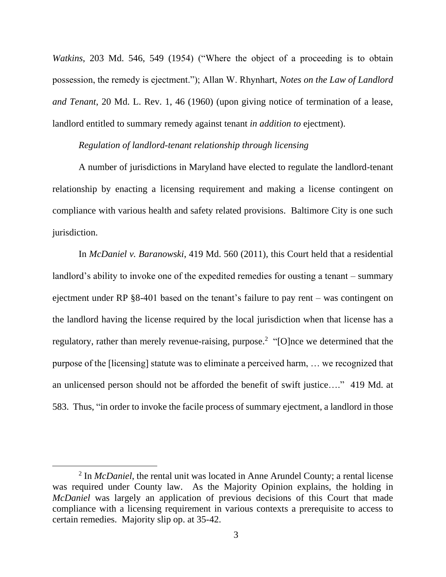*Watkins*, 203 Md. 546, 549 (1954) ("Where the object of a proceeding is to obtain possession, the remedy is ejectment."); Allan W. Rhynhart, *Notes on the Law of Landlord and Tenant*, 20 Md. L. Rev. 1, 46 (1960) (upon giving notice of termination of a lease, landlord entitled to summary remedy against tenant *in addition to* ejectment).

#### *Regulation of landlord-tenant relationship through licensing*

A number of jurisdictions in Maryland have elected to regulate the landlord-tenant relationship by enacting a licensing requirement and making a license contingent on compliance with various health and safety related provisions. Baltimore City is one such jurisdiction.

In *McDaniel v. Baranowski*, 419 Md. 560 (2011), this Court held that a residential landlord's ability to invoke one of the expedited remedies for ousting a tenant – summary ejectment under RP §8-401 based on the tenant's failure to pay rent – was contingent on the landlord having the license required by the local jurisdiction when that license has a regulatory, rather than merely revenue-raising, purpose.<sup>2</sup> "[O]nce we determined that the purpose of the [licensing] statute was to eliminate a perceived harm, … we recognized that an unlicensed person should not be afforded the benefit of swift justice…." 419 Md. at 583. Thus, "in order to invoke the facile process of summary ejectment, a landlord in those

<sup>2</sup> In *McDaniel*, the rental unit was located in Anne Arundel County; a rental license was required under County law. As the Majority Opinion explains, the holding in *McDaniel* was largely an application of previous decisions of this Court that made compliance with a licensing requirement in various contexts a prerequisite to access to certain remedies. Majority slip op. at 35-42.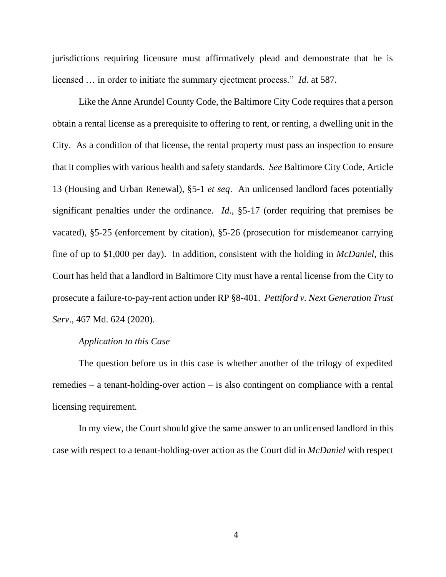jurisdictions requiring licensure must affirmatively plead and demonstrate that he is licensed … in order to initiate the summary ejectment process." *Id*. at 587.

Like the Anne Arundel County Code, the Baltimore City Code requires that a person obtain a rental license as a prerequisite to offering to rent, or renting, a dwelling unit in the City. As a condition of that license, the rental property must pass an inspection to ensure that it complies with various health and safety standards. *See* Baltimore City Code, Article 13 (Housing and Urban Renewal), §5-1 *et seq*. An unlicensed landlord faces potentially significant penalties under the ordinance. *Id*., §5-17 (order requiring that premises be vacated), §5-25 (enforcement by citation), §5-26 (prosecution for misdemeanor carrying fine of up to \$1,000 per day). In addition, consistent with the holding in *McDaniel*, this Court has held that a landlord in Baltimore City must have a rental license from the City to prosecute a failure-to-pay-rent action under RP §8-401. *Pettiford v. Next Generation Trust Serv*., 467 Md. 624 (2020).

#### *Application to this Case*

The question before us in this case is whether another of the trilogy of expedited remedies – a tenant-holding-over action – is also contingent on compliance with a rental licensing requirement.

In my view, the Court should give the same answer to an unlicensed landlord in this case with respect to a tenant-holding-over action as the Court did in *McDaniel* with respect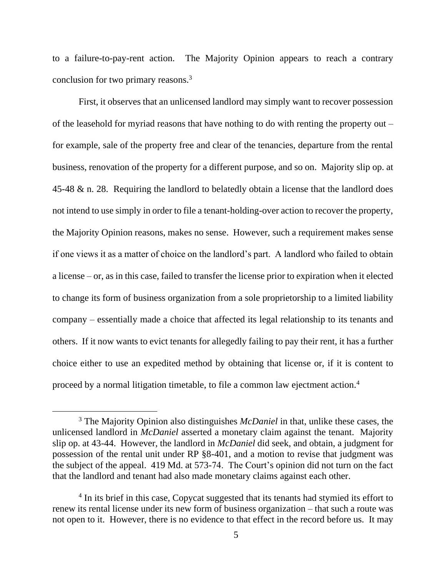to a failure-to-pay-rent action. The Majority Opinion appears to reach a contrary conclusion for two primary reasons.<sup>3</sup>

First, it observes that an unlicensed landlord may simply want to recover possession of the leasehold for myriad reasons that have nothing to do with renting the property out – for example, sale of the property free and clear of the tenancies, departure from the rental business, renovation of the property for a different purpose, and so on. Majority slip op. at 45-48 & n. 28. Requiring the landlord to belatedly obtain a license that the landlord does not intend to use simply in order to file a tenant-holding-over action to recover the property, the Majority Opinion reasons, makes no sense. However, such a requirement makes sense if one views it as a matter of choice on the landlord's part. A landlord who failed to obtain a license – or, as in this case, failed to transfer the license prior to expiration when it elected to change its form of business organization from a sole proprietorship to a limited liability company – essentially made a choice that affected its legal relationship to its tenants and others. If it now wants to evict tenants for allegedly failing to pay their rent, it has a further choice either to use an expedited method by obtaining that license or, if it is content to proceed by a normal litigation timetable, to file a common law ejectment action.<sup>4</sup>

<sup>3</sup> The Majority Opinion also distinguishes *McDaniel* in that, unlike these cases, the unlicensed landlord in *McDaniel* asserted a monetary claim against the tenant. Majority slip op. at 43-44. However, the landlord in *McDaniel* did seek, and obtain, a judgment for possession of the rental unit under RP §8-401, and a motion to revise that judgment was the subject of the appeal. 419 Md. at 573-74. The Court's opinion did not turn on the fact that the landlord and tenant had also made monetary claims against each other.

<sup>&</sup>lt;sup>4</sup> In its brief in this case, Copycat suggested that its tenants had stymied its effort to renew its rental license under its new form of business organization – that such a route was not open to it. However, there is no evidence to that effect in the record before us. It may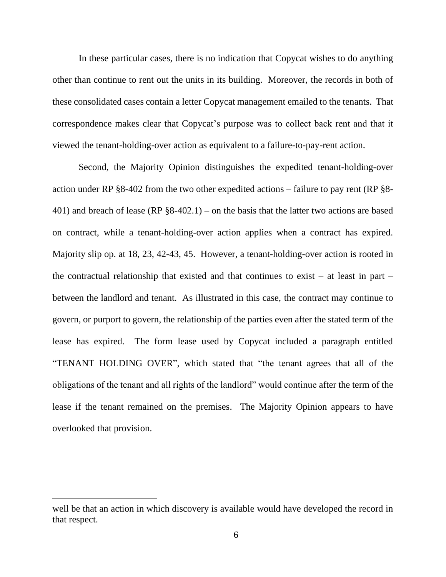In these particular cases, there is no indication that Copycat wishes to do anything other than continue to rent out the units in its building. Moreover, the records in both of these consolidated cases contain a letter Copycat management emailed to the tenants. That correspondence makes clear that Copycat's purpose was to collect back rent and that it viewed the tenant-holding-over action as equivalent to a failure-to-pay-rent action.

Second, the Majority Opinion distinguishes the expedited tenant-holding-over action under RP §8-402 from the two other expedited actions – failure to pay rent (RP §8- 401) and breach of lease (RP §8-402.1) – on the basis that the latter two actions are based on contract, while a tenant-holding-over action applies when a contract has expired. Majority slip op. at 18, 23, 42-43, 45. However, a tenant-holding-over action is rooted in the contractual relationship that existed and that continues to exist – at least in part – between the landlord and tenant. As illustrated in this case, the contract may continue to govern, or purport to govern, the relationship of the parties even after the stated term of the lease has expired. The form lease used by Copycat included a paragraph entitled "TENANT HOLDING OVER", which stated that "the tenant agrees that all of the obligations of the tenant and all rights of the landlord" would continue after the term of the lease if the tenant remained on the premises. The Majority Opinion appears to have overlooked that provision.

well be that an action in which discovery is available would have developed the record in that respect.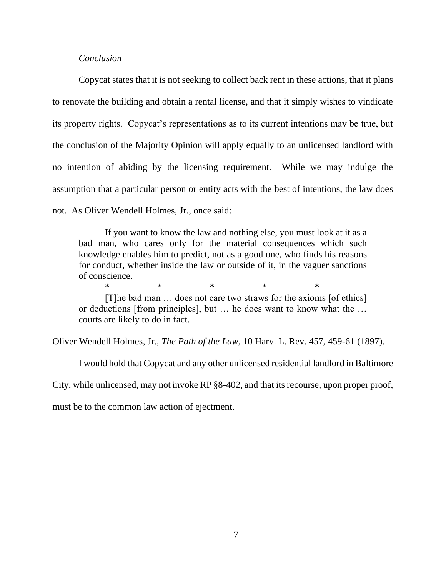#### *Conclusion*

Copycat states that it is not seeking to collect back rent in these actions, that it plans to renovate the building and obtain a rental license, and that it simply wishes to vindicate its property rights. Copycat's representations as to its current intentions may be true, but the conclusion of the Majority Opinion will apply equally to an unlicensed landlord with no intention of abiding by the licensing requirement. While we may indulge the assumption that a particular person or entity acts with the best of intentions, the law does not. As Oliver Wendell Holmes, Jr., once said:

If you want to know the law and nothing else, you must look at it as a bad man, who cares only for the material consequences which such knowledge enables him to predict, not as a good one, who finds his reasons for conduct, whether inside the law or outside of it, in the vaguer sanctions of conscience.

[T]he bad man … does not care two straws for the axioms [of ethics] or deductions [from principles], but … he does want to know what the … courts are likely to do in fact.

\* \* \* \* \* \* \*

Oliver Wendell Holmes, Jr., *The Path of the Law*, 10 Harv. L. Rev. 457, 459-61 (1897).

I would hold that Copycat and any other unlicensed residential landlord in Baltimore City, while unlicensed, may not invoke RP §8-402, and that its recourse, upon proper proof, must be to the common law action of ejectment.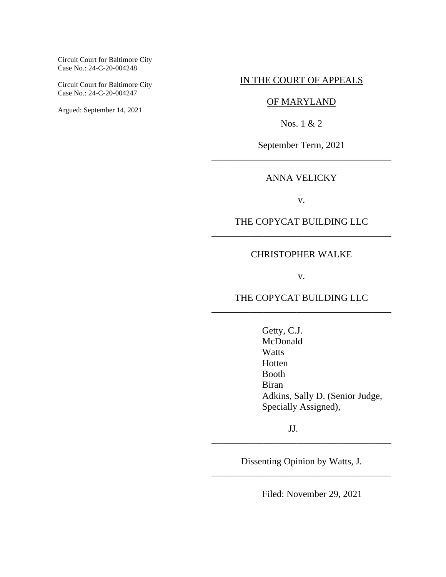Circuit Court for Baltimore City Case No.: 24-C-20-004248

Circuit Court for Baltimore City Case No.: 24-C-20-004247

Argued: September 14, 2021

#### IN THE COURT OF APPEALS

## OF MARYLAND

Nos. 1 & 2

September Term, 2021 \_\_\_\_\_\_\_\_\_\_\_\_\_\_\_\_\_\_\_\_\_\_\_\_\_\_\_\_\_\_\_\_\_\_\_\_\_\_

## ANNA VELICKY

v.

## THE COPYCAT BUILDING LLC \_\_\_\_\_\_\_\_\_\_\_\_\_\_\_\_\_\_\_\_\_\_\_\_\_\_\_\_\_\_\_\_\_\_\_\_\_\_

#### CHRISTOPHER WALKE

v.

## THE COPYCAT BUILDING LLC \_\_\_\_\_\_\_\_\_\_\_\_\_\_\_\_\_\_\_\_\_\_\_\_\_\_\_\_\_\_\_\_\_\_\_\_\_\_

Getty, C.J. McDonald **Watts** Hotten Booth Biran Adkins, Sally D. (Senior Judge, Specially Assigned),

JJ.

Dissenting Opinion by Watts, J. \_\_\_\_\_\_\_\_\_\_\_\_\_\_\_\_\_\_\_\_\_\_\_\_\_\_\_\_\_\_\_\_\_\_\_\_\_\_

\_\_\_\_\_\_\_\_\_\_\_\_\_\_\_\_\_\_\_\_\_\_\_\_\_\_\_\_\_\_\_\_\_\_\_\_\_\_

Filed: November 29, 2021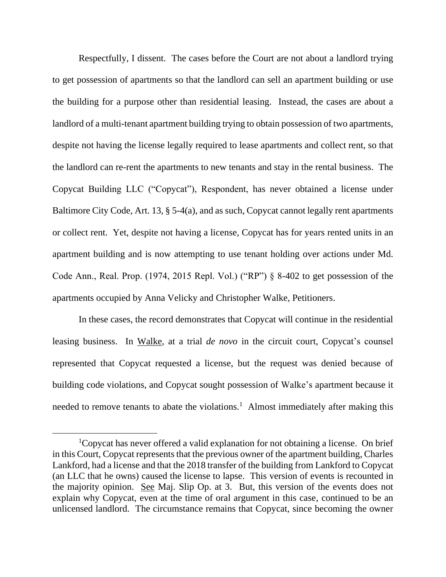Respectfully, I dissent. The cases before the Court are not about a landlord trying to get possession of apartments so that the landlord can sell an apartment building or use the building for a purpose other than residential leasing. Instead, the cases are about a landlord of a multi-tenant apartment building trying to obtain possession of two apartments, despite not having the license legally required to lease apartments and collect rent, so that the landlord can re-rent the apartments to new tenants and stay in the rental business. The Copycat Building LLC ("Copycat"), Respondent, has never obtained a license under Baltimore City Code, Art. 13, § 5-4(a), and as such, Copycat cannot legally rent apartments or collect rent. Yet, despite not having a license, Copycat has for years rented units in an apartment building and is now attempting to use tenant holding over actions under Md. Code Ann., Real. Prop. (1974, 2015 Repl. Vol.) ("RP") § 8-402 to get possession of the apartments occupied by Anna Velicky and Christopher Walke, Petitioners.

In these cases, the record demonstrates that Copycat will continue in the residential leasing business. In Walke, at a trial *de novo* in the circuit court, Copycat's counsel represented that Copycat requested a license, but the request was denied because of building code violations, and Copycat sought possession of Walke's apartment because it needed to remove tenants to abate the violations.<sup>1</sup> Almost immediately after making this

<sup>1</sup>Copycat has never offered a valid explanation for not obtaining a license. On brief in this Court, Copycat represents that the previous owner of the apartment building, Charles Lankford, had a license and that the 2018 transfer of the building from Lankford to Copycat (an LLC that he owns) caused the license to lapse. This version of events is recounted in the majority opinion. See Maj. Slip Op. at 3. But, this version of the events does not explain why Copycat, even at the time of oral argument in this case, continued to be an unlicensed landlord. The circumstance remains that Copycat, since becoming the owner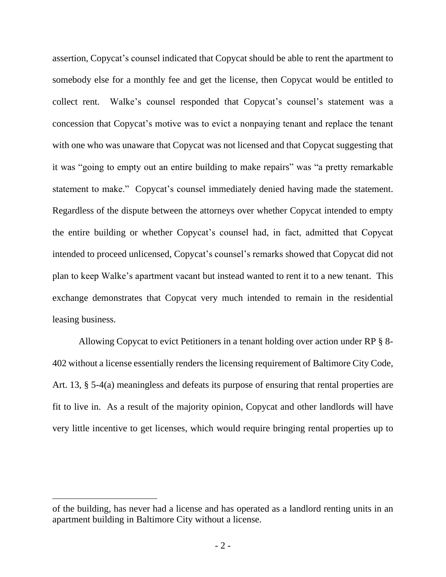assertion, Copycat's counsel indicated that Copycat should be able to rent the apartment to somebody else for a monthly fee and get the license, then Copycat would be entitled to collect rent. Walke's counsel responded that Copycat's counsel's statement was a concession that Copycat's motive was to evict a nonpaying tenant and replace the tenant with one who was unaware that Copycat was not licensed and that Copycat suggesting that it was "going to empty out an entire building to make repairs" was "a pretty remarkable statement to make." Copycat's counsel immediately denied having made the statement. Regardless of the dispute between the attorneys over whether Copycat intended to empty the entire building or whether Copycat's counsel had, in fact, admitted that Copycat intended to proceed unlicensed, Copycat's counsel's remarks showed that Copycat did not plan to keep Walke's apartment vacant but instead wanted to rent it to a new tenant. This exchange demonstrates that Copycat very much intended to remain in the residential leasing business.

Allowing Copycat to evict Petitioners in a tenant holding over action under RP § 8- 402 without a license essentially renders the licensing requirement of Baltimore City Code, Art. 13, § 5-4(a) meaningless and defeats its purpose of ensuring that rental properties are fit to live in. As a result of the majority opinion, Copycat and other landlords will have very little incentive to get licenses, which would require bringing rental properties up to

of the building, has never had a license and has operated as a landlord renting units in an apartment building in Baltimore City without a license.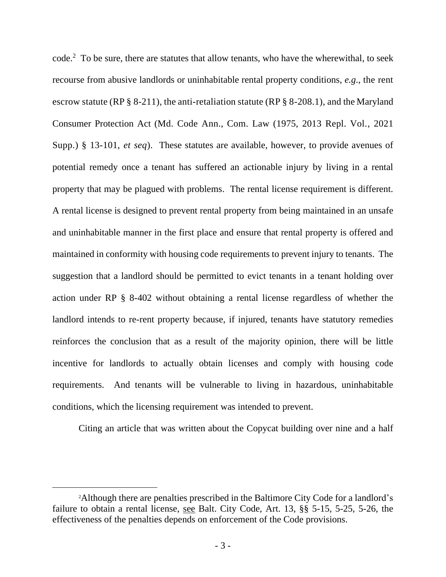code.<sup>2</sup> To be sure, there are statutes that allow tenants, who have the wherewithal, to seek recourse from abusive landlords or uninhabitable rental property conditions, *e.g*., the rent escrow statute (RP § 8-211), the anti-retaliation statute (RP § 8-208.1), and the Maryland Consumer Protection Act (Md. Code Ann., Com. Law (1975, 2013 Repl. Vol., 2021 Supp.) § 13-101, *et seq*). These statutes are available, however, to provide avenues of potential remedy once a tenant has suffered an actionable injury by living in a rental property that may be plagued with problems. The rental license requirement is different. A rental license is designed to prevent rental property from being maintained in an unsafe and uninhabitable manner in the first place and ensure that rental property is offered and maintained in conformity with housing code requirements to prevent injury to tenants. The suggestion that a landlord should be permitted to evict tenants in a tenant holding over action under RP § 8-402 without obtaining a rental license regardless of whether the landlord intends to re-rent property because, if injured, tenants have statutory remedies reinforces the conclusion that as a result of the majority opinion, there will be little incentive for landlords to actually obtain licenses and comply with housing code requirements. And tenants will be vulnerable to living in hazardous, uninhabitable conditions, which the licensing requirement was intended to prevent.

Citing an article that was written about the Copycat building over nine and a half

<sup>2</sup>Although there are penalties prescribed in the Baltimore City Code for a landlord's failure to obtain a rental license, see Balt. City Code, Art. 13, §§ 5-15, 5-25, 5-26, the effectiveness of the penalties depends on enforcement of the Code provisions.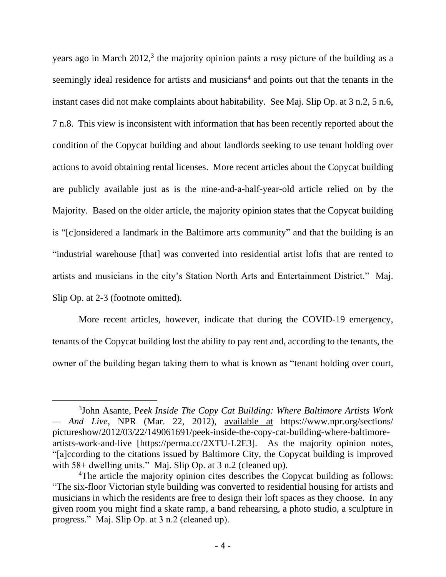years ago in March 2012,<sup>3</sup> the majority opinion paints a rosy picture of the building as a seemingly ideal residence for artists and musicians<sup>4</sup> and points out that the tenants in the instant cases did not make complaints about habitability. <u>See</u> Maj. Slip Op. at 3 n.2, 5 n.6, 7 n.8. This view is inconsistent with information that has been recently reported about the condition of the Copycat building and about landlords seeking to use tenant holding over actions to avoid obtaining rental licenses. More recent articles about the Copycat building are publicly available just as is the nine-and-a-half-year-old article relied on by the Majority. Based on the older article, the majority opinion states that the Copycat building is "[c]onsidered a landmark in the Baltimore arts community" and that the building is an "industrial warehouse [that] was converted into residential artist lofts that are rented to artists and musicians in the city's Station North Arts and Entertainment District." Maj. Slip Op. at 2-3 (footnote omitted).

More recent articles, however, indicate that during the COVID-19 emergency, tenants of the Copycat building lost the ability to pay rent and, according to the tenants, the owner of the building began taking them to what is known as "tenant holding over court,

<sup>3</sup> John Asante, P*[eek Inside The Copy Cat Building: Where Baltimore Artists Work](file://///adfsdc.courts.state.md.us/Court%20of%20Appeals/Watts%20Shared/COA/September%20Term,%202021%20Cases/September%202021/September%202021%20Opinions/The%20CopyCat%20Building%20LLC%20Cases%20(Dissenting)/Old%20Drafts/Peek%20Inside%20The%20Copy%20Cat%20Building:%20Where%20Baltimore%20Artists%20Work%20—%20And%20Live%20:%20The%20Picture%20Show%20:%20NPR)  — [And Live](file://///adfsdc.courts.state.md.us/Court%20of%20Appeals/Watts%20Shared/COA/September%20Term,%202021%20Cases/September%202021/September%202021%20Opinions/The%20CopyCat%20Building%20LLC%20Cases%20(Dissenting)/Old%20Drafts/Peek%20Inside%20The%20Copy%20Cat%20Building:%20Where%20Baltimore%20Artists%20Work%20—%20And%20Live%20:%20The%20Picture%20Show%20:%20NPR)*, NPR (Mar. 22, 2012), available at https://www.npr.org/sections/ pictureshow/2012/03/22/149061691/peek-inside-the-copy-cat-building-where-baltimoreartists-work-and-live [https://perma.cc/2XTU-L2E3]. As the majority opinion notes, "[a]ccording to the citations issued by Baltimore City, the Copycat building is improved with 58+ dwelling units." Maj. Slip Op. at 3 n.2 (cleaned up).

<sup>&</sup>lt;sup>4</sup>The article the majority opinion cites describes the Copycat building as follows: "The six-floor Victorian style building was converted to residential housing for artists and musicians in which the residents are free to design their loft spaces as they choose. In any given room you might find a skate ramp, a band rehearsing, a photo studio, a sculpture in progress." Maj. Slip Op. at 3 n.2 (cleaned up).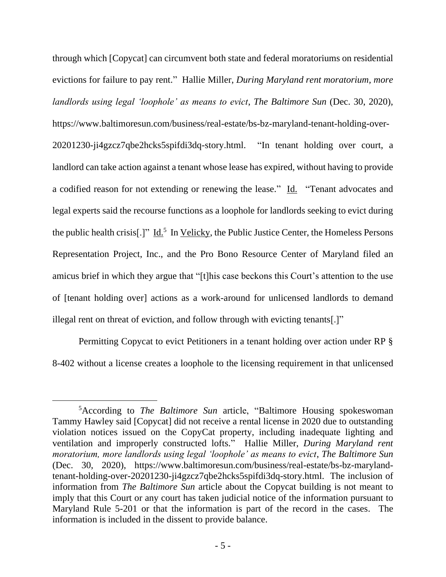through which [Copycat] can circumvent both state and federal moratoriums on residential evictions for failure to pay rent." Hallie Miller, *During Maryland rent moratorium, more landlords using legal 'loophole' as means to evict*, *The Baltimore Sun* (Dec. 30, 2020), https://www.baltimoresun.com/business/real-estate/bs-bz-maryland-tenant-holding-over-20201230-ji4gzcz7qbe2hcks5spifdi3dq-story.html. "In tenant holding over court, a landlord can take action against a tenant whose lease has expired, without having to provide a codified reason for not extending or renewing the lease." Id. "Tenant advocates and legal experts said the recourse functions as a loophole for landlords seeking to evict during the public health crisis[.]"  $\underline{Id.}^5$  In Velicky, the Public Justice Center, the Homeless Persons Representation Project, Inc., and the Pro Bono Resource Center of Maryland filed an amicus brief in which they argue that "[t]his case beckons this Court's attention to the use of [tenant holding over] actions as a work-around for unlicensed landlords to demand illegal rent on threat of eviction, and follow through with evicting tenants[.]"

Permitting Copycat to evict Petitioners in a tenant holding over action under RP § 8-402 without a license creates a loophole to the licensing requirement in that unlicensed

<sup>5</sup>According to *The Baltimore Sun* article, "Baltimore Housing spokeswoman Tammy Hawley said [Copycat] did not receive a rental license in 2020 due to outstanding violation notices issued on the CopyCat property, including inadequate lighting and ventilation and improperly constructed lofts." Hallie Miller, *During Maryland rent moratorium, more landlords using legal 'loophole' as means to evict*, *The Baltimore Sun* (Dec. 30, 2020), https://www.baltimoresun.com/business/real-estate/bs-bz-marylandtenant-holding-over-20201230-ji4gzcz7qbe2hcks5spifdi3dq-story.html. The inclusion of information from *The Baltimore Sun* article about the Copycat building is not meant to imply that this Court or any court has taken judicial notice of the information pursuant to Maryland Rule 5-201 or that the information is part of the record in the cases. The information is included in the dissent to provide balance.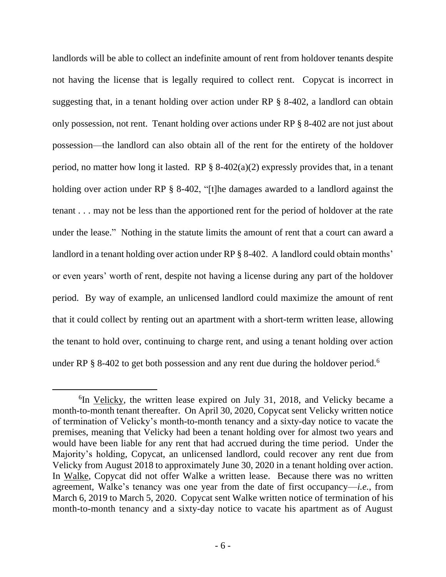landlords will be able to collect an indefinite amount of rent from holdover tenants despite not having the license that is legally required to collect rent. Copycat is incorrect in suggesting that, in a tenant holding over action under RP § 8-402, a landlord can obtain only possession, not rent. Tenant holding over actions under RP § 8-402 are not just about possession—the landlord can also obtain all of the rent for the entirety of the holdover period, no matter how long it lasted. RP  $\S$  8-402(a)(2) expressly provides that, in a tenant holding over action under RP § 8-402, "[t]he damages awarded to a landlord against the tenant . . . may not be less than the apportioned rent for the period of holdover at the rate under the lease." Nothing in the statute limits the amount of rent that a court can award a landlord in a tenant holding over action under RP § 8-402. A landlord could obtain months' or even years' worth of rent, despite not having a license during any part of the holdover period. By way of example, an unlicensed landlord could maximize the amount of rent that it could collect by renting out an apartment with a short-term written lease, allowing the tenant to hold over, continuing to charge rent, and using a tenant holding over action under RP § 8-402 to get both possession and any rent due during the holdover period.<sup>6</sup>

<sup>&</sup>lt;sup>6</sup>In Velicky, the written lease expired on July 31, 2018, and Velicky became a month-to-month tenant thereafter. On April 30, 2020, Copycat sent Velicky written notice of termination of Velicky's month-to-month tenancy and a sixty-day notice to vacate the premises, meaning that Velicky had been a tenant holding over for almost two years and would have been liable for any rent that had accrued during the time period. Under the Majority's holding, Copycat, an unlicensed landlord, could recover any rent due from Velicky from August 2018 to approximately June 30, 2020 in a tenant holding over action. In Walke, Copycat did not offer Walke a written lease. Because there was no written agreement, Walke's tenancy was one year from the date of first occupancy—*i.e.*, from March 6, 2019 to March 5, 2020. Copycat sent Walke written notice of termination of his month-to-month tenancy and a sixty-day notice to vacate his apartment as of August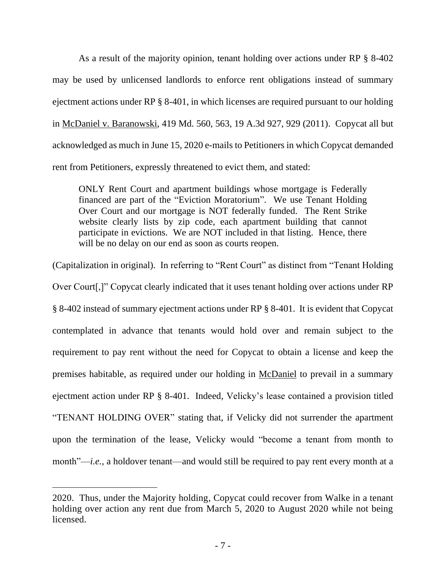As a result of the majority opinion, tenant holding over actions under RP § 8-402 may be used by unlicensed landlords to enforce rent obligations instead of summary ejectment actions under RP § 8-401, in which licenses are required pursuant to our holding in McDaniel v. Baranowski, 419 Md. 560, 563, 19 A.3d 927, 929 (2011). Copycat all but acknowledged as much in June 15, 2020 e-mails to Petitioners in which Copycat demanded rent from Petitioners, expressly threatened to evict them, and stated:

ONLY Rent Court and apartment buildings whose mortgage is Federally financed are part of the "Eviction Moratorium". We use Tenant Holding Over Court and our mortgage is NOT federally funded. The Rent Strike website clearly lists by zip code, each apartment building that cannot participate in evictions. We are NOT included in that listing. Hence, there will be no delay on our end as soon as courts reopen.

(Capitalization in original).In referring to "Rent Court" as distinct from "Tenant Holding Over Court[,]" Copycat clearly indicated that it uses tenant holding over actions under RP § 8-402 instead of summary ejectment actions under RP § 8-401. It is evident that Copycat contemplated in advance that tenants would hold over and remain subject to the requirement to pay rent without the need for Copycat to obtain a license and keep the premises habitable, as required under our holding in McDaniel to prevail in a summary ejectment action under RP § 8-401. Indeed, Velicky's lease contained a provision titled "TENANT HOLDING OVER" stating that, if Velicky did not surrender the apartment upon the termination of the lease, Velicky would "become a tenant from month to month"—*i.e.*, a holdover tenant—and would still be required to pay rent every month at a

<sup>2020.</sup> Thus, under the Majority holding, Copycat could recover from Walke in a tenant holding over action any rent due from March 5, 2020 to August 2020 while not being licensed.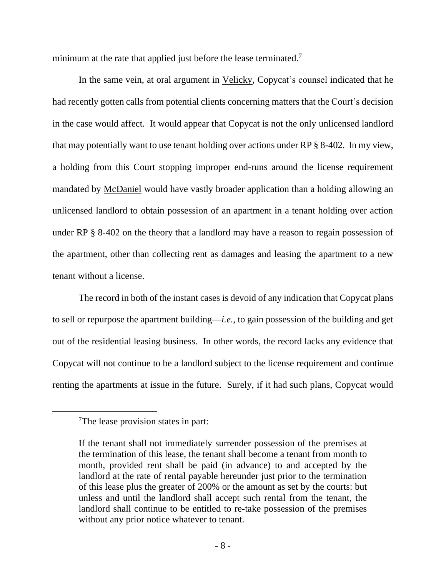minimum at the rate that applied just before the lease terminated.<sup>7</sup>

In the same vein, at oral argument in Velicky, Copycat's counsel indicated that he had recently gotten calls from potential clients concerning matters that the Court's decision in the case would affect. It would appear that Copycat is not the only unlicensed landlord that may potentially want to use tenant holding over actions under RP § 8-402. In my view, a holding from this Court stopping improper end-runs around the license requirement mandated by McDaniel would have vastly broader application than a holding allowing an unlicensed landlord to obtain possession of an apartment in a tenant holding over action under RP § 8-402 on the theory that a landlord may have a reason to regain possession of the apartment, other than collecting rent as damages and leasing the apartment to a new tenant without a license.

The record in both of the instant cases is devoid of any indication that Copycat plans to sell or repurpose the apartment building—*i.e.*, to gain possession of the building and get out of the residential leasing business. In other words, the record lacks any evidence that Copycat will not continue to be a landlord subject to the license requirement and continue renting the apartments at issue in the future. Surely, if it had such plans, Copycat would

<sup>7</sup>The lease provision states in part:

If the tenant shall not immediately surrender possession of the premises at the termination of this lease, the tenant shall become a tenant from month to month, provided rent shall be paid (in advance) to and accepted by the landlord at the rate of rental payable hereunder just prior to the termination of this lease plus the greater of 200% or the amount as set by the courts: but unless and until the landlord shall accept such rental from the tenant, the landlord shall continue to be entitled to re-take possession of the premises without any prior notice whatever to tenant.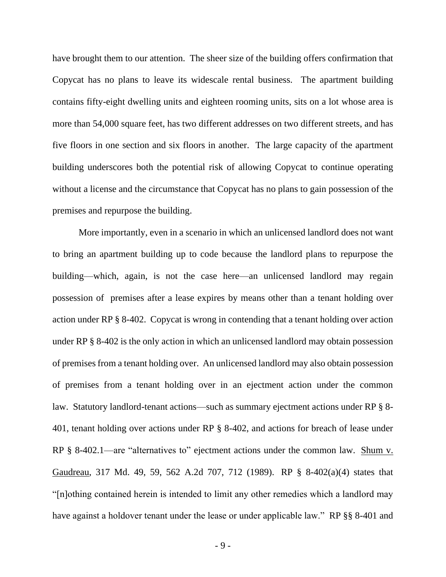have brought them to our attention. The sheer size of the building offers confirmation that Copycat has no plans to leave its widescale rental business. The apartment building contains fifty-eight dwelling units and eighteen rooming units, sits on a lot whose area is more than 54,000 square feet, has two different addresses on two different streets, and has five floors in one section and six floors in another. The large capacity of the apartment building underscores both the potential risk of allowing Copycat to continue operating without a license and the circumstance that Copycat has no plans to gain possession of the premises and repurpose the building.

More importantly, even in a scenario in which an unlicensed landlord does not want to bring an apartment building up to code because the landlord plans to repurpose the building—which, again, is not the case here—an unlicensed landlord may regain possession of premises after a lease expires by means other than a tenant holding over action under RP § 8-402. Copycat is wrong in contending that a tenant holding over action under RP § 8-402 is the only action in which an unlicensed landlord may obtain possession of premises from a tenant holding over. An unlicensed landlord may also obtain possession of premises from a tenant holding over in an ejectment action under the common law. Statutory landlord-tenant actions—such as summary ejectment actions under RP § 8- 401, tenant holding over actions under RP § 8-402, and actions for breach of lease under RP § 8-402.1—are "alternatives to" ejectment actions under the common law. Shum v. Gaudreau, 317 Md. 49, 59, 562 A.2d 707, 712 (1989). RP § 8-402(a)(4) states that "[n]othing contained herein is intended to limit any other remedies which a landlord may have against a holdover tenant under the lease or under applicable law." RP §§ 8-401 and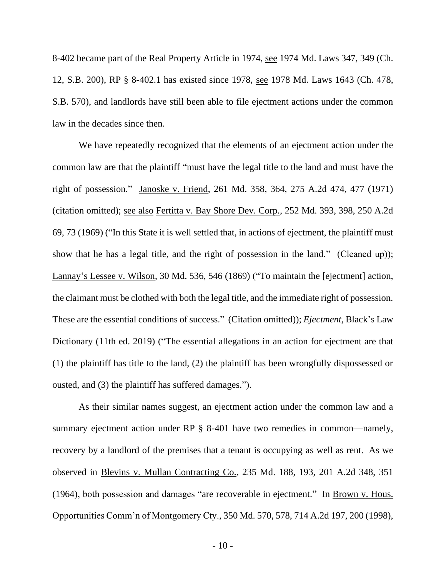8-402 became part of the Real Property Article in 1974, see 1974 Md. Laws 347, 349 (Ch. 12, S.B. 200), RP § 8-402.1 has existed since 1978, see 1978 Md. Laws 1643 (Ch. 478, S.B. 570), and landlords have still been able to file ejectment actions under the common law in the decades since then.

We have repeatedly recognized that the elements of an ejectment action under the common law are that the plaintiff "must have the legal title to the land and must have the right of possession." Janoske v. Friend, 261 Md. 358, 364, 275 A.2d 474, 477 (1971) (citation omitted); see also Fertitta v. Bay Shore Dev. Corp., 252 Md. 393, 398, 250 A.2d 69, 73 (1969) ("In this State it is well settled that, in actions of ejectment, the plaintiff must show that he has a legal title, and the right of possession in the land." (Cleaned up)); Lannay's Lessee v. Wilson, 30 Md. 536, 546 (1869) ("To maintain the [ejectment] action, the claimant must be clothed with both the legal title, and the immediate right of possession. These are the essential conditions of success." (Citation omitted)); *Ejectment*, Black's Law Dictionary (11th ed. 2019) ("The essential allegations in an action for ejectment are that (1) the plaintiff has title to the land, (2) the plaintiff has been wrongfully dispossessed or ousted, and (3) the plaintiff has suffered damages.").

As their similar names suggest, an ejectment action under the common law and a summary ejectment action under RP § 8-401 have two remedies in common—namely, recovery by a landlord of the premises that a tenant is occupying as well as rent. As we observed in Blevins v. Mullan Contracting Co., 235 Md. 188, 193, 201 A.2d 348, 351 (1964), both possession and damages "are recoverable in ejectment." In Brown v. Hous. Opportunities Comm'n of Montgomery Cty., 350 Md. 570, 578, 714 A.2d 197, 200 (1998),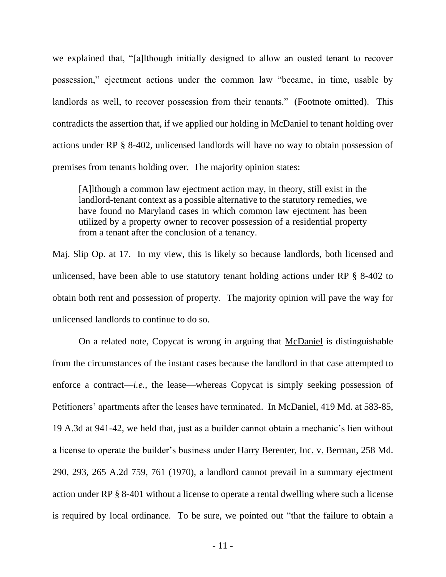we explained that, "[a]lthough initially designed to allow an ousted tenant to recover possession," ejectment actions under the common law "became, in time, usable by landlords as well, to recover possession from their tenants." (Footnote omitted). This contradicts the assertion that, if we applied our holding in McDaniel to tenant holding over actions under RP § 8-402, unlicensed landlords will have no way to obtain possession of premises from tenants holding over. The majority opinion states:

[A]lthough a common law ejectment action may, in theory, still exist in the landlord-tenant context as a possible alternative to the statutory remedies, we have found no Maryland cases in which common law ejectment has been utilized by a property owner to recover possession of a residential property from a tenant after the conclusion of a tenancy.

Maj. Slip Op. at 17. In my view, this is likely so because landlords, both licensed and unlicensed, have been able to use statutory tenant holding actions under RP § 8-402 to obtain both rent and possession of property. The majority opinion will pave the way for unlicensed landlords to continue to do so.

On a related note, Copycat is wrong in arguing that McDaniel is distinguishable from the circumstances of the instant cases because the landlord in that case attempted to enforce a contract—*i.e.*, the lease—whereas Copycat is simply seeking possession of Petitioners' apartments after the leases have terminated. In McDaniel, 419 Md. at 583-85, 19 A.3d at 941-42, we held that, just as a builder cannot obtain a mechanic's lien without a license to operate the builder's business under Harry Berenter, Inc. v. Berman, 258 Md. 290, 293, 265 A.2d 759, 761 (1970), a landlord cannot prevail in a summary ejectment action under RP § 8-401 without a license to operate a rental dwelling where such a license is required by local ordinance. To be sure, we pointed out "that the failure to obtain a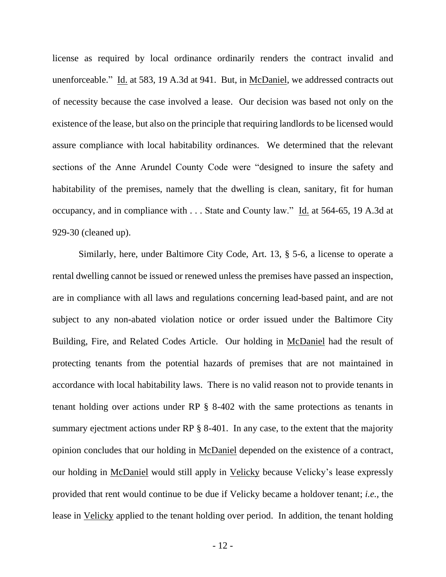license as required by local ordinance ordinarily renders the contract invalid and unenforceable." Id. at 583, 19 A.3d at 941. But, in McDaniel, we addressed contracts out of necessity because the case involved a lease. Our decision was based not only on the existence of the lease, but also on the principle that requiring landlords to be licensed would assure compliance with local habitability ordinances. We determined that the relevant sections of the Anne Arundel County Code were "designed to insure the safety and habitability of the premises, namely that the dwelling is clean, sanitary, fit for human occupancy, and in compliance with . . . State and County law." Id. at 564-65, 19 A.3d at 929-30 (cleaned up).

Similarly, here, under Baltimore City Code, Art. 13, § 5-6, a license to operate a rental dwelling cannot be issued or renewed unless the premises have passed an inspection, are in compliance with all laws and regulations concerning lead-based paint, and are not subject to any non-abated violation notice or order issued under the Baltimore City Building, Fire, and Related Codes Article. Our holding in McDaniel had the result of protecting tenants from the potential hazards of premises that are not maintained in accordance with local habitability laws. There is no valid reason not to provide tenants in tenant holding over actions under RP § 8-402 with the same protections as tenants in summary ejectment actions under RP § 8-401. In any case, to the extent that the majority opinion concludes that our holding in McDaniel depended on the existence of a contract, our holding in McDaniel would still apply in Velicky because Velicky's lease expressly provided that rent would continue to be due if Velicky became a holdover tenant; *i.e.,* the lease in Velicky applied to the tenant holding over period. In addition, the tenant holding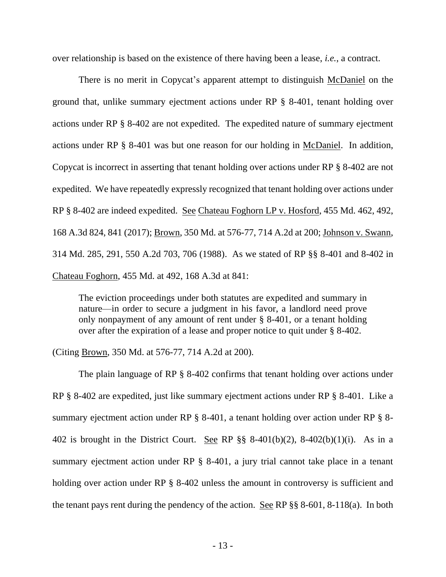over relationship is based on the existence of there having been a lease, *i.e.*, a contract.

There is no merit in Copycat's apparent attempt to distinguish McDaniel on the ground that, unlike summary ejectment actions under RP § 8-401, tenant holding over actions under RP § 8-402 are not expedited. The expedited nature of summary ejectment actions under RP § 8-401 was but one reason for our holding in McDaniel. In addition, Copycat is incorrect in asserting that tenant holding over actions under RP § 8-402 are not expedited. We have repeatedly expressly recognized that tenant holding over actions under RP § 8-402 are indeed expedited. See Chateau Foghorn LP v. Hosford, 455 Md. 462, 492, 168 A.3d 824, 841 (2017); Brown, 350 Md. at 576-77, 714 A.2d at 200; Johnson v. Swann, 314 Md. 285, 291, 550 A.2d 703, 706 (1988). As we stated of RP §§ 8-401 and 8-402 in Chateau Foghorn, 455 Md. at 492, 168 A.3d at 841:

The eviction proceedings under both statutes are expedited and summary in nature—in order to secure a judgment in his favor, a landlord need prove only nonpayment of any amount of rent under § 8-401, or a tenant holding over after the expiration of a lease and proper notice to quit under § 8-402.

(Citing Brown, 350 Md. at 576-77, 714 A.2d at 200).

The plain language of RP § 8-402 confirms that tenant holding over actions under RP § 8-402 are expedited, just like summary ejectment actions under RP § 8-401. Like a summary ejectment action under RP § 8-401, a tenant holding over action under RP § 8- 402 is brought in the District Court. See RP  $\S$ § 8-401(b)(2), 8-402(b)(1)(i). As in a summary ejectment action under RP § 8-401, a jury trial cannot take place in a tenant holding over action under RP § 8-402 unless the amount in controversy is sufficient and the tenant pays rent during the pendency of the action. See RP §§ 8-601, 8-118(a). In both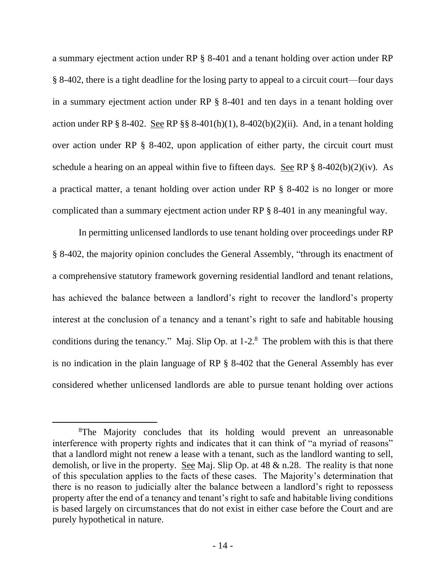a summary ejectment action under RP § 8-401 and a tenant holding over action under RP § 8-402, there is a tight deadline for the losing party to appeal to a circuit court—four days in a summary ejectment action under RP § 8-401 and ten days in a tenant holding over action under RP § 8-402. See RP §§ 8-401(h)(1), 8-402(b)(2)(ii). And, in a tenant holding over action under RP § 8-402, upon application of either party, the circuit court must schedule a hearing on an appeal within five to fifteen days. See RP  $\S$  8-402(b)(2)(iv). As a practical matter, a tenant holding over action under RP § 8-402 is no longer or more complicated than a summary ejectment action under RP § 8-401 in any meaningful way.

In permitting unlicensed landlords to use tenant holding over proceedings under RP § 8-402, the majority opinion concludes the General Assembly, "through its enactment of a comprehensive statutory framework governing residential landlord and tenant relations, has achieved the balance between a landlord's right to recover the landlord's property interest at the conclusion of a tenancy and a tenant's right to safe and habitable housing conditions during the tenancy." Maj. Slip Op. at  $1-2.8$  The problem with this is that there is no indication in the plain language of RP § 8-402 that the General Assembly has ever considered whether unlicensed landlords are able to pursue tenant holding over actions

<sup>&</sup>lt;sup>8</sup>The Majority concludes that its holding would prevent an unreasonable interference with property rights and indicates that it can think of "a myriad of reasons" that a landlord might not renew a lease with a tenant, such as the landlord wanting to sell, demolish, or live in the property. See Maj. Slip Op. at 48 & n.28. The reality is that none of this speculation applies to the facts of these cases. The Majority's determination that there is no reason to judicially alter the balance between a landlord's right to repossess property after the end of a tenancy and tenant's right to safe and habitable living conditions is based largely on circumstances that do not exist in either case before the Court and are purely hypothetical in nature.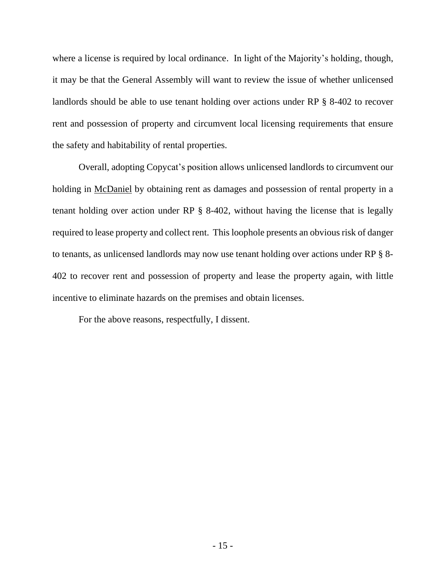where a license is required by local ordinance. In light of the Majority's holding, though, it may be that the General Assembly will want to review the issue of whether unlicensed landlords should be able to use tenant holding over actions under RP § 8-402 to recover rent and possession of property and circumvent local licensing requirements that ensure the safety and habitability of rental properties.

Overall, adopting Copycat's position allows unlicensed landlords to circumvent our holding in McDaniel by obtaining rent as damages and possession of rental property in a tenant holding over action under RP § 8-402, without having the license that is legally required to lease property and collect rent. This loophole presents an obvious risk of danger to tenants, as unlicensed landlords may now use tenant holding over actions under RP § 8- 402 to recover rent and possession of property and lease the property again, with little incentive to eliminate hazards on the premises and obtain licenses.

For the above reasons, respectfully, I dissent.